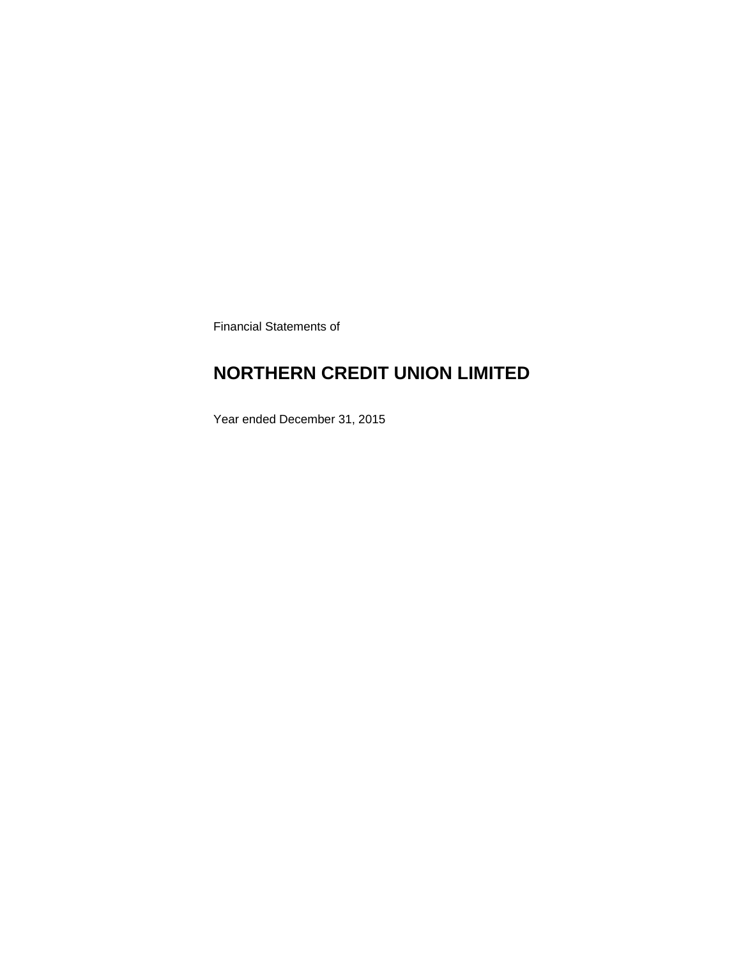Financial Statements of

### **NORTHERN CREDIT UNION LIMITED**

Year ended December 31, 2015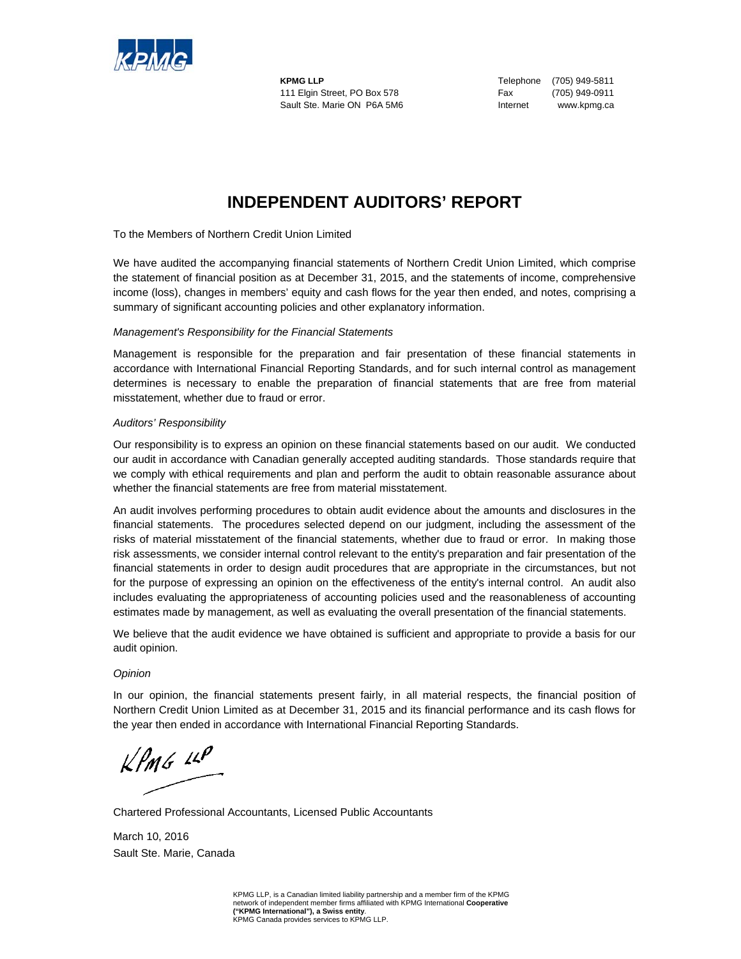

**KPMG LLP** Telephone (705) 949-5811 111 Elgin Street, PO Box 578 Fax (705) 949-0911 Sault Ste. Marie ON P6A 5M6 Internet www.kpmg.ca

### **INDEPENDENT AUDITORS' REPORT**

To the Members of Northern Credit Union Limited

We have audited the accompanying financial statements of Northern Credit Union Limited, which comprise the statement of financial position as at December 31, 2015, and the statements of income, comprehensive income (loss), changes in members' equity and cash flows for the year then ended, and notes, comprising a summary of significant accounting policies and other explanatory information.

#### *Management's Responsibility for the Financial Statements*

Management is responsible for the preparation and fair presentation of these financial statements in accordance with International Financial Reporting Standards, and for such internal control as management determines is necessary to enable the preparation of financial statements that are free from material misstatement, whether due to fraud or error.

#### *Auditors' Responsibility*

Our responsibility is to express an opinion on these financial statements based on our audit. We conducted our audit in accordance with Canadian generally accepted auditing standards. Those standards require that we comply with ethical requirements and plan and perform the audit to obtain reasonable assurance about whether the financial statements are free from material misstatement.

An audit involves performing procedures to obtain audit evidence about the amounts and disclosures in the financial statements. The procedures selected depend on our judgment, including the assessment of the risks of material misstatement of the financial statements, whether due to fraud or error. In making those risk assessments, we consider internal control relevant to the entity's preparation and fair presentation of the financial statements in order to design audit procedures that are appropriate in the circumstances, but not for the purpose of expressing an opinion on the effectiveness of the entity's internal control. An audit also includes evaluating the appropriateness of accounting policies used and the reasonableness of accounting estimates made by management, as well as evaluating the overall presentation of the financial statements.

We believe that the audit evidence we have obtained is sufficient and appropriate to provide a basis for our audit opinion.

#### *Opinion*

In our opinion, the financial statements present fairly, in all material respects, the financial position of Northern Credit Union Limited as at December 31, 2015 and its financial performance and its cash flows for the year then ended in accordance with International Financial Reporting Standards.

 $KPMG$  14P

Chartered Professional Accountants, Licensed Public Accountants

March 10, 2016 Sault Ste. Marie, Canada

> KPMG LLP, is a Canadian limited liability partnership and a member firm of the KPMG network of independent member firms affiliated with KPMG International **Cooperative ("KPMG International"), a Swiss entity**. KPMG Canada provides services to KPMG LLP.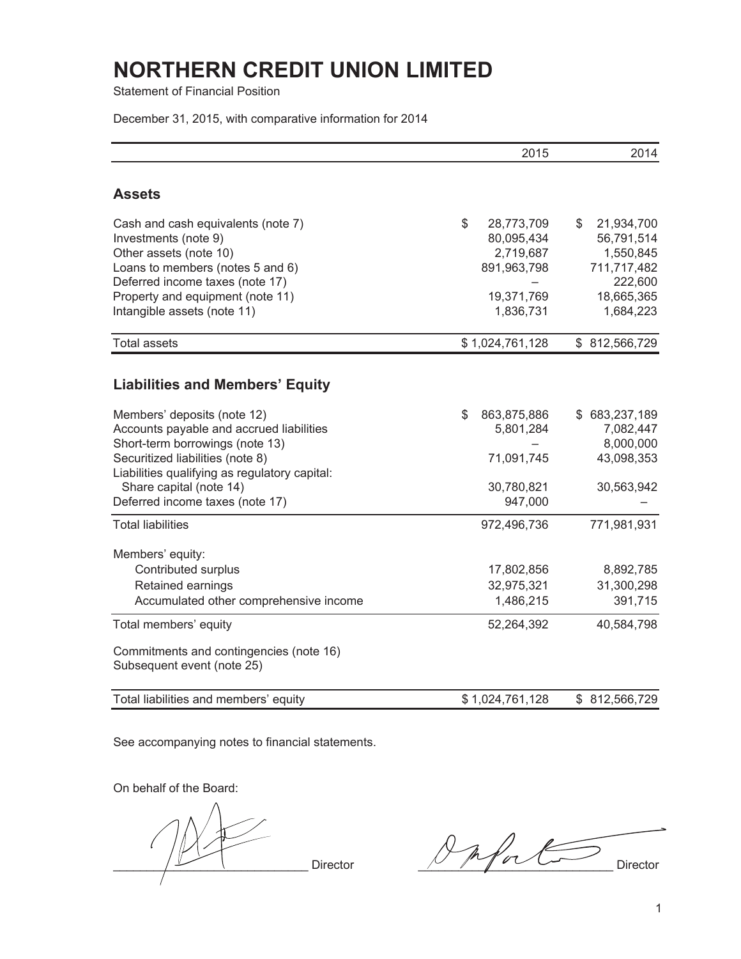Statement of Financial Position

December 31, 2015, with comparative information for 2014

|                                                                                                                                                                                                                                                               | 2015                                                                                           | 2014                                                                                             |
|---------------------------------------------------------------------------------------------------------------------------------------------------------------------------------------------------------------------------------------------------------------|------------------------------------------------------------------------------------------------|--------------------------------------------------------------------------------------------------|
| <b>Assets</b>                                                                                                                                                                                                                                                 |                                                                                                |                                                                                                  |
| Cash and cash equivalents (note 7)<br>Investments (note 9)<br>Other assets (note 10)<br>Loans to members (notes 5 and 6)<br>Deferred income taxes (note 17)<br>Property and equipment (note 11)<br>Intangible assets (note 11)                                | $\mathbb S$<br>28,773,709<br>80,095,434<br>2,719,687<br>891,963,798<br>19,371,769<br>1,836,731 | \$<br>21,934,700<br>56,791,514<br>1,550,845<br>711,717,482<br>222,600<br>18,665,365<br>1,684,223 |
| <b>Total assets</b>                                                                                                                                                                                                                                           | \$1,024,761,128                                                                                | \$812,566,729                                                                                    |
| <b>Liabilities and Members' Equity</b>                                                                                                                                                                                                                        |                                                                                                |                                                                                                  |
| Members' deposits (note 12)<br>Accounts payable and accrued liabilities<br>Short-term borrowings (note 13)<br>Securitized liabilities (note 8)<br>Liabilities qualifying as regulatory capital:<br>Share capital (note 14)<br>Deferred income taxes (note 17) | \$<br>863,875,886<br>5,801,284<br>71,091,745<br>30,780,821<br>947,000                          | \$683,237,189<br>7,082,447<br>8,000,000<br>43,098,353<br>30,563,942                              |
| <b>Total liabilities</b>                                                                                                                                                                                                                                      | 972,496,736                                                                                    | 771,981,931                                                                                      |
| Members' equity:<br>Contributed surplus<br>Retained earnings<br>Accumulated other comprehensive income                                                                                                                                                        | 17,802,856<br>32,975,321<br>1,486,215                                                          | 8,892,785<br>31,300,298<br>391,715                                                               |
| Total members' equity                                                                                                                                                                                                                                         | 52,264,392                                                                                     | 40,584,798                                                                                       |
| Commitments and contingencies (note 16)<br>Subsequent event (note 25)                                                                                                                                                                                         |                                                                                                |                                                                                                  |
| Total liabilities and members' equity                                                                                                                                                                                                                         | \$1,024,761,128                                                                                | \$812,566,729                                                                                    |

See accompanying notes to financial statements.

On behalf of the Board:

Director  $\bigotimes_{\mathcal{P}} \bigotimes_{\mathcal{P}} \bigotimes_{\mathcal{P}} \bigotimes_{\mathcal{P}}$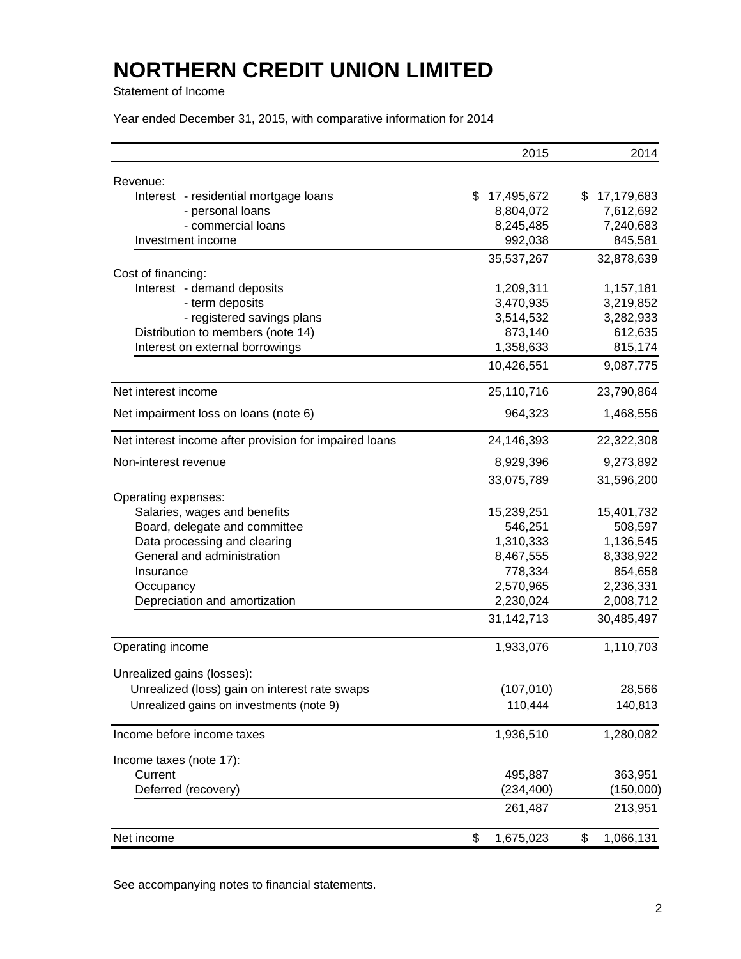Statement of Income

Year ended December 31, 2015, with comparative information for 2014

|                                                        | 2015            | 2014             |
|--------------------------------------------------------|-----------------|------------------|
| Revenue:                                               |                 |                  |
| Interest - residential mortgage loans                  | \$17,495,672    | 17,179,683<br>\$ |
| - personal loans                                       | 8,804,072       | 7,612,692        |
| - commercial loans                                     | 8,245,485       | 7,240,683        |
| Investment income                                      | 992,038         | 845,581          |
|                                                        | 35,537,267      | 32,878,639       |
| Cost of financing:                                     |                 |                  |
| Interest - demand deposits                             | 1,209,311       | 1,157,181        |
| - term deposits                                        | 3,470,935       | 3,219,852        |
| - registered savings plans                             | 3,514,532       | 3,282,933        |
| Distribution to members (note 14)                      | 873,140         | 612,635          |
| Interest on external borrowings                        | 1,358,633       | 815,174          |
|                                                        | 10,426,551      | 9,087,775        |
| Net interest income                                    | 25,110,716      | 23,790,864       |
| Net impairment loss on loans (note 6)                  | 964,323         | 1,468,556        |
| Net interest income after provision for impaired loans | 24,146,393      | 22,322,308       |
| Non-interest revenue                                   | 8,929,396       | 9,273,892        |
|                                                        | 33,075,789      | 31,596,200       |
| Operating expenses:                                    |                 |                  |
| Salaries, wages and benefits                           | 15,239,251      | 15,401,732       |
| Board, delegate and committee                          | 546,251         | 508,597          |
| Data processing and clearing                           | 1,310,333       | 1,136,545        |
| General and administration                             | 8,467,555       | 8,338,922        |
| Insurance                                              | 778,334         | 854,658          |
| Occupancy                                              | 2,570,965       | 2,236,331        |
| Depreciation and amortization                          | 2,230,024       | 2,008,712        |
|                                                        | 31,142,713      | 30,485,497       |
| Operating income                                       | 1,933,076       | 1,110,703        |
| Unrealized gains (losses):                             |                 |                  |
| Unrealized (loss) gain on interest rate swaps          | (107, 010)      | 28,566           |
| Unrealized gains on investments (note 9)               | 110,444         | 140,813          |
| Income before income taxes                             | 1,936,510       | 1,280,082        |
| Income taxes (note 17):                                |                 |                  |
| Current                                                | 495,887         | 363,951          |
| Deferred (recovery)                                    | (234, 400)      | (150,000)        |
|                                                        | 261,487         | 213,951          |
| Net income                                             | \$<br>1,675,023 | \$<br>1,066,131  |

See accompanying notes to financial statements.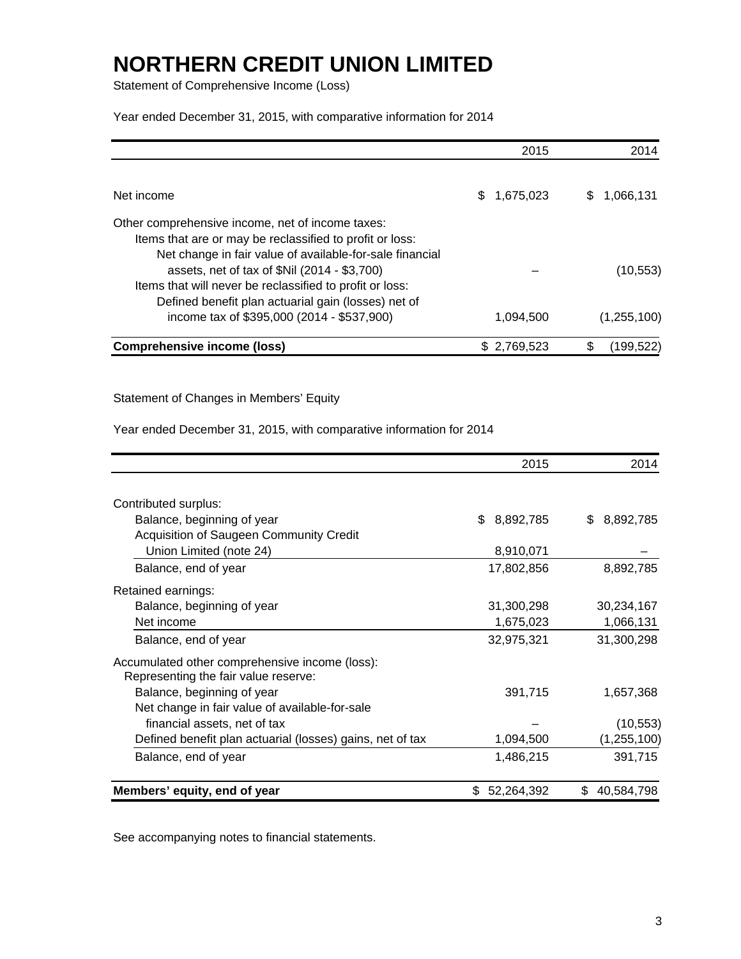Statement of Comprehensive Income (Loss)

Year ended December 31, 2015, with comparative information for 2014

|                                                                                                                                                                          | 2015             | 2014        |
|--------------------------------------------------------------------------------------------------------------------------------------------------------------------------|------------------|-------------|
| Net income                                                                                                                                                               | 1,675,023<br>\$. | 1,066,131   |
| Other comprehensive income, net of income taxes:<br>Items that are or may be reclassified to profit or loss:<br>Net change in fair value of available-for-sale financial |                  |             |
| assets, net of tax of \$Nil (2014 - \$3,700)<br>Items that will never be reclassified to profit or loss:                                                                 |                  | (10, 553)   |
| Defined benefit plan actuarial gain (losses) net of<br>income tax of \$395,000 (2014 - \$537,900)                                                                        | 1,094,500        | (1,255,100) |
| <b>Comprehensive income (loss)</b>                                                                                                                                       | 2.769.523        | (199,522)   |

### Statement of Changes in Members' Equity

Year ended December 31, 2015, with comparative information for 2014

|                                                                                        | 2015             | 2014             |
|----------------------------------------------------------------------------------------|------------------|------------------|
|                                                                                        |                  |                  |
| Contributed surplus:                                                                   |                  |                  |
| Balance, beginning of year                                                             | 8,892,785<br>\$  | 8,892,785<br>\$. |
| Acquisition of Saugeen Community Credit                                                |                  |                  |
| Union Limited (note 24)                                                                | 8,910,071        |                  |
| Balance, end of year                                                                   | 17,802,856       | 8,892,785        |
| Retained earnings:                                                                     |                  |                  |
| Balance, beginning of year                                                             | 31,300,298       | 30,234,167       |
| Net income                                                                             | 1,675,023        | 1,066,131        |
| Balance, end of year                                                                   | 32,975,321       | 31,300,298       |
| Accumulated other comprehensive income (loss):<br>Representing the fair value reserve: |                  |                  |
| Balance, beginning of year                                                             | 391,715          | 1,657,368        |
| Net change in fair value of available-for-sale                                         |                  |                  |
| financial assets, net of tax                                                           |                  | (10, 553)        |
| Defined benefit plan actuarial (losses) gains, net of tax                              | 1,094,500        | (1,255,100)      |
| Balance, end of year                                                                   | 1,486,215        | 391,715          |
| Members' equity, end of year                                                           | \$<br>52,264,392 | \$<br>40,584,798 |

See accompanying notes to financial statements.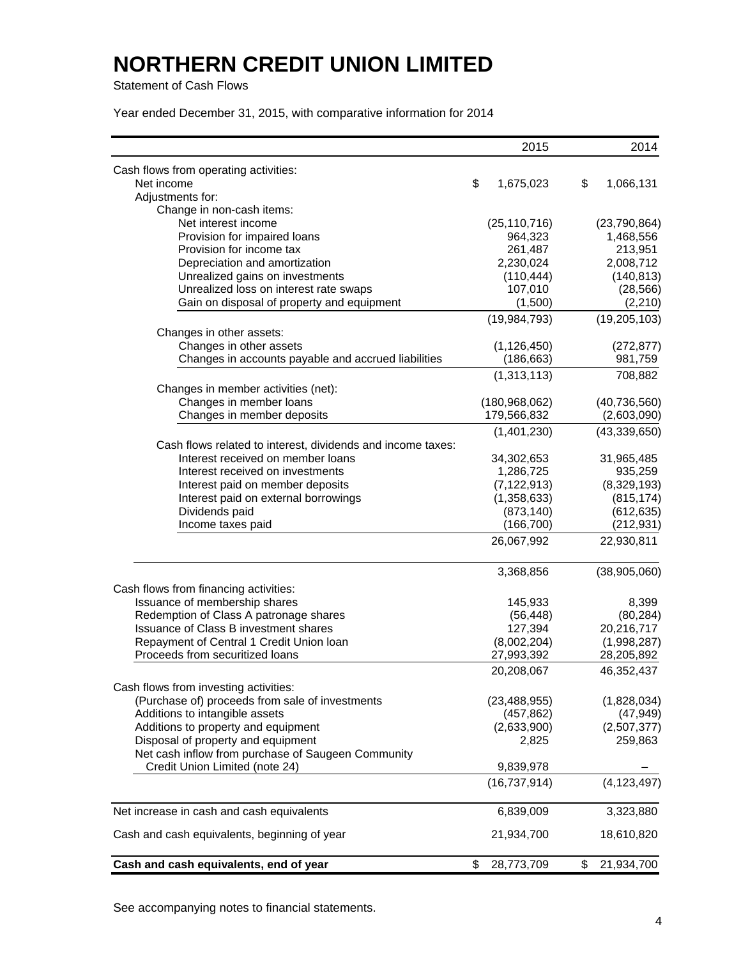Statement of Cash Flows

Year ended December 31, 2015, with comparative information for 2014

|                                                             | 2015             | 2014             |
|-------------------------------------------------------------|------------------|------------------|
| Cash flows from operating activities:                       |                  |                  |
| Net income                                                  | \$<br>1,675,023  | \$<br>1,066,131  |
| Adjustments for:                                            |                  |                  |
| Change in non-cash items:                                   |                  |                  |
| Net interest income                                         | (25, 110, 716)   | (23,790,864)     |
| Provision for impaired loans                                | 964,323          | 1,468,556        |
| Provision for income tax                                    | 261,487          | 213,951          |
| Depreciation and amortization                               | 2,230,024        | 2,008,712        |
| Unrealized gains on investments                             | (110, 444)       | (140, 813)       |
| Unrealized loss on interest rate swaps                      | 107,010          | (28, 566)        |
| Gain on disposal of property and equipment                  | (1,500)          | (2, 210)         |
|                                                             | (19, 984, 793)   | (19, 205, 103)   |
| Changes in other assets:                                    |                  |                  |
| Changes in other assets                                     | (1, 126, 450)    | (272, 877)       |
| Changes in accounts payable and accrued liabilities         | (186, 663)       | 981,759          |
|                                                             | (1,313,113)      | 708,882          |
| Changes in member activities (net):                         |                  |                  |
| Changes in member loans                                     | (180, 968, 062)  | (40, 736, 560)   |
| Changes in member deposits                                  | 179,566,832      | (2,603,090)      |
|                                                             | (1,401,230)      | (43, 339, 650)   |
| Cash flows related to interest, dividends and income taxes: |                  |                  |
| Interest received on member loans                           | 34,302,653       | 31,965,485       |
| Interest received on investments                            | 1,286,725        | 935,259          |
| Interest paid on member deposits                            | (7, 122, 913)    | (8,329,193)      |
| Interest paid on external borrowings                        | (1,358,633)      | (815, 174)       |
| Dividends paid                                              | (873, 140)       | (612, 635)       |
| Income taxes paid                                           | (166, 700)       | (212, 931)       |
|                                                             | 26,067,992       | 22,930,811       |
|                                                             | 3,368,856        | (38,905,060)     |
| Cash flows from financing activities:                       |                  |                  |
| Issuance of membership shares                               | 145,933          | 8,399            |
| Redemption of Class A patronage shares                      | (56, 448)        | (80, 284)        |
| <b>Issuance of Class B investment shares</b>                | 127,394          | 20,216,717       |
| Repayment of Central 1 Credit Union Ioan                    | (8,002,204)      | (1,998,287)      |
| Proceeds from securitized loans                             | 27,993,392       | 28,205,892       |
|                                                             | 20,208,067       | 46,352,437       |
| Cash flows from investing activities:                       |                  |                  |
| (Purchase of) proceeds from sale of investments             | (23, 488, 955)   | (1,828,034)      |
| Additions to intangible assets                              | (457, 862)       | (47, 949)        |
| Additions to property and equipment                         | (2,633,900)      | (2,507,377)      |
| Disposal of property and equipment                          | 2,825            | 259,863          |
| Net cash inflow from purchase of Saugeen Community          |                  |                  |
| Credit Union Limited (note 24)                              | 9,839,978        |                  |
|                                                             | (16, 737, 914)   | (4, 123, 497)    |
| Net increase in cash and cash equivalents                   | 6,839,009        | 3,323,880        |
| Cash and cash equivalents, beginning of year                | 21,934,700       | 18,610,820       |
| Cash and cash equivalents, end of year                      | \$<br>28,773,709 | \$<br>21,934,700 |

See accompanying notes to financial statements.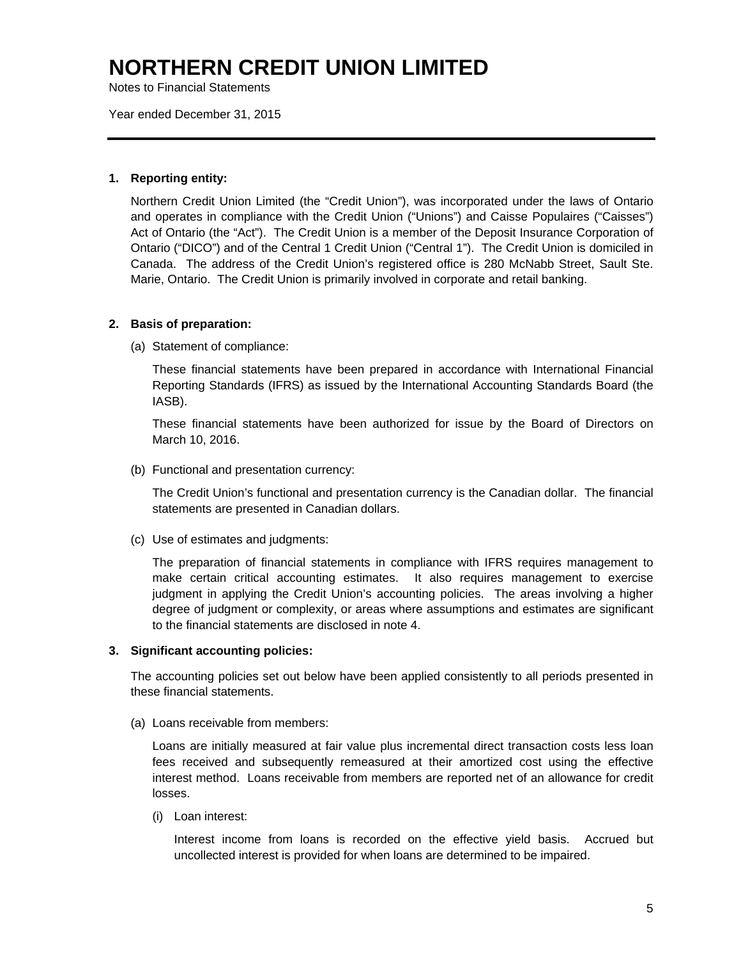Notes to Financial Statements

Year ended December 31, 2015

#### **1. Reporting entity:**

Northern Credit Union Limited (the "Credit Union"), was incorporated under the laws of Ontario and operates in compliance with the Credit Union ("Unions") and Caisse Populaires ("Caisses") Act of Ontario (the "Act"). The Credit Union is a member of the Deposit Insurance Corporation of Ontario ("DICO") and of the Central 1 Credit Union ("Central 1"). The Credit Union is domiciled in Canada. The address of the Credit Union's registered office is 280 McNabb Street, Sault Ste. Marie, Ontario. The Credit Union is primarily involved in corporate and retail banking.

### **2. Basis of preparation:**

(a) Statement of compliance:

These financial statements have been prepared in accordance with International Financial Reporting Standards (IFRS) as issued by the International Accounting Standards Board (the IASB).

These financial statements have been authorized for issue by the Board of Directors on March 10, 2016.

(b) Functional and presentation currency:

The Credit Union's functional and presentation currency is the Canadian dollar. The financial statements are presented in Canadian dollars.

(c) Use of estimates and judgments:

The preparation of financial statements in compliance with IFRS requires management to make certain critical accounting estimates. It also requires management to exercise judgment in applying the Credit Union's accounting policies. The areas involving a higher degree of judgment or complexity, or areas where assumptions and estimates are significant to the financial statements are disclosed in note 4.

#### **3. Significant accounting policies:**

The accounting policies set out below have been applied consistently to all periods presented in these financial statements.

(a) Loans receivable from members:

Loans are initially measured at fair value plus incremental direct transaction costs less loan fees received and subsequently remeasured at their amortized cost using the effective interest method. Loans receivable from members are reported net of an allowance for credit losses.

(i) Loan interest:

 Interest income from loans is recorded on the effective yield basis. Accrued but uncollected interest is provided for when loans are determined to be impaired.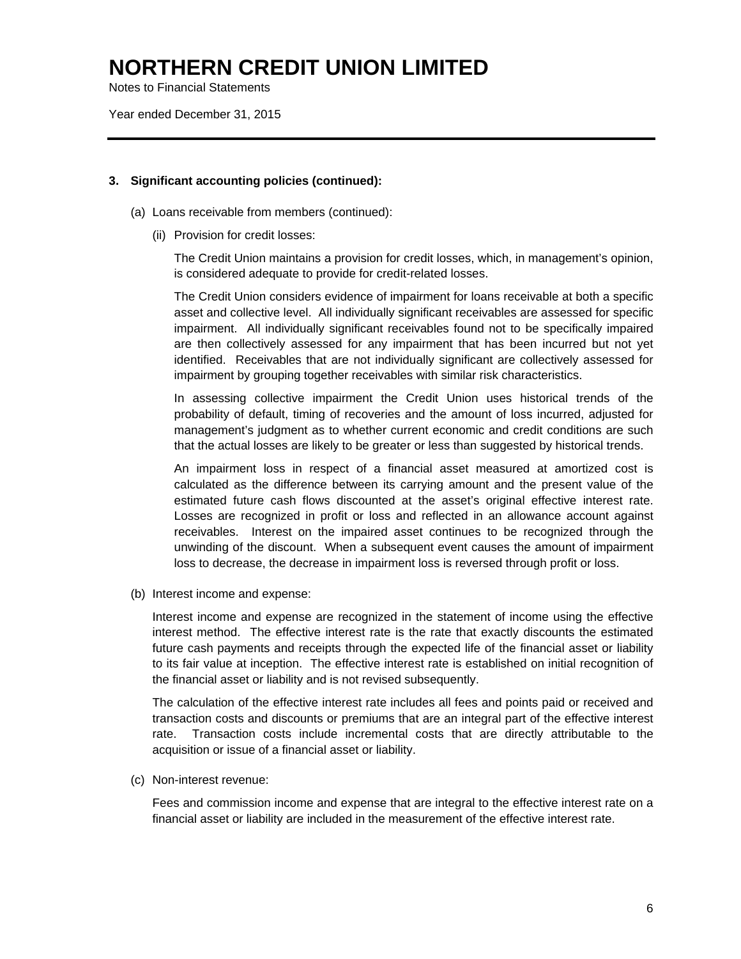Notes to Financial Statements

Year ended December 31, 2015

### **3. Significant accounting policies (continued):**

- (a) Loans receivable from members (continued):
	- (ii) Provision for credit losses:

 The Credit Union maintains a provision for credit losses, which, in management's opinion, is considered adequate to provide for credit-related losses.

 The Credit Union considers evidence of impairment for loans receivable at both a specific asset and collective level. All individually significant receivables are assessed for specific impairment. All individually significant receivables found not to be specifically impaired are then collectively assessed for any impairment that has been incurred but not yet identified. Receivables that are not individually significant are collectively assessed for impairment by grouping together receivables with similar risk characteristics.

 In assessing collective impairment the Credit Union uses historical trends of the probability of default, timing of recoveries and the amount of loss incurred, adjusted for management's judgment as to whether current economic and credit conditions are such that the actual losses are likely to be greater or less than suggested by historical trends.

 An impairment loss in respect of a financial asset measured at amortized cost is calculated as the difference between its carrying amount and the present value of the estimated future cash flows discounted at the asset's original effective interest rate. Losses are recognized in profit or loss and reflected in an allowance account against receivables. Interest on the impaired asset continues to be recognized through the unwinding of the discount. When a subsequent event causes the amount of impairment loss to decrease, the decrease in impairment loss is reversed through profit or loss.

(b) Interest income and expense:

 Interest income and expense are recognized in the statement of income using the effective interest method. The effective interest rate is the rate that exactly discounts the estimated future cash payments and receipts through the expected life of the financial asset or liability to its fair value at inception. The effective interest rate is established on initial recognition of the financial asset or liability and is not revised subsequently.

 The calculation of the effective interest rate includes all fees and points paid or received and transaction costs and discounts or premiums that are an integral part of the effective interest rate. Transaction costs include incremental costs that are directly attributable to the acquisition or issue of a financial asset or liability.

(c) Non-interest revenue:

Fees and commission income and expense that are integral to the effective interest rate on a financial asset or liability are included in the measurement of the effective interest rate.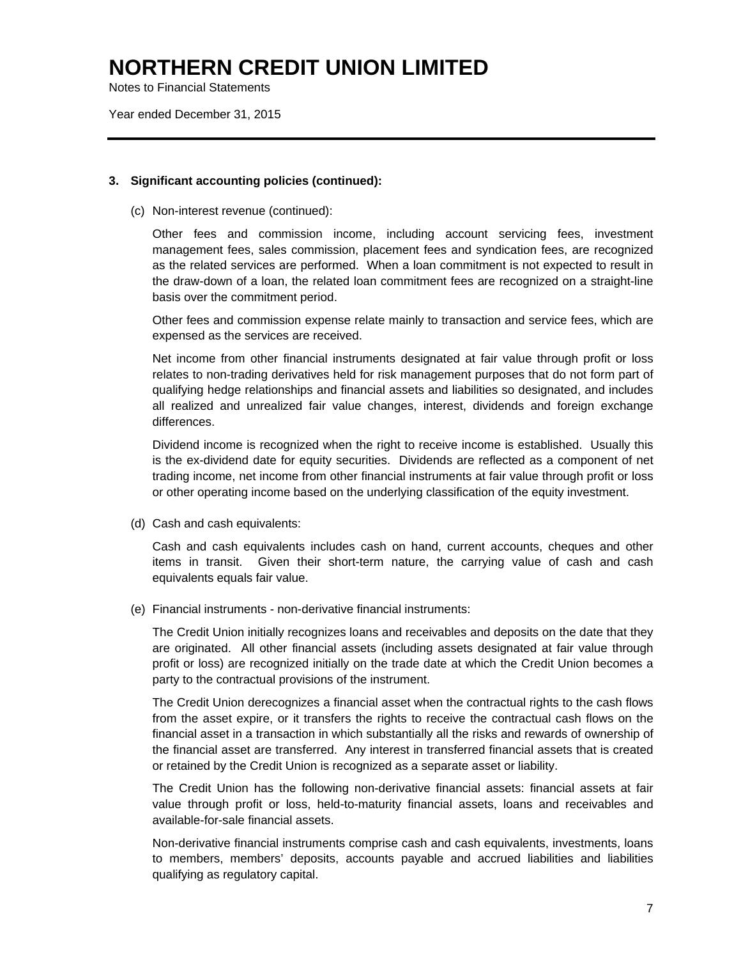Notes to Financial Statements

Year ended December 31, 2015

#### **3. Significant accounting policies (continued):**

(c) Non-interest revenue (continued):

Other fees and commission income, including account servicing fees, investment management fees, sales commission, placement fees and syndication fees, are recognized as the related services are performed. When a loan commitment is not expected to result in the draw-down of a loan, the related loan commitment fees are recognized on a straight-line basis over the commitment period.

Other fees and commission expense relate mainly to transaction and service fees, which are expensed as the services are received.

Net income from other financial instruments designated at fair value through profit or loss relates to non-trading derivatives held for risk management purposes that do not form part of qualifying hedge relationships and financial assets and liabilities so designated, and includes all realized and unrealized fair value changes, interest, dividends and foreign exchange differences.

Dividend income is recognized when the right to receive income is established. Usually this is the ex-dividend date for equity securities. Dividends are reflected as a component of net trading income, net income from other financial instruments at fair value through profit or loss or other operating income based on the underlying classification of the equity investment.

(d) Cash and cash equivalents:

Cash and cash equivalents includes cash on hand, current accounts, cheques and other items in transit. Given their short-term nature, the carrying value of cash and cash equivalents equals fair value.

(e) Financial instruments - non-derivative financial instruments:

 The Credit Union initially recognizes loans and receivables and deposits on the date that they are originated. All other financial assets (including assets designated at fair value through profit or loss) are recognized initially on the trade date at which the Credit Union becomes a party to the contractual provisions of the instrument.

The Credit Union derecognizes a financial asset when the contractual rights to the cash flows from the asset expire, or it transfers the rights to receive the contractual cash flows on the financial asset in a transaction in which substantially all the risks and rewards of ownership of the financial asset are transferred. Any interest in transferred financial assets that is created or retained by the Credit Union is recognized as a separate asset or liability.

The Credit Union has the following non-derivative financial assets: financial assets at fair value through profit or loss, held-to-maturity financial assets, loans and receivables and available-for-sale financial assets.

 Non-derivative financial instruments comprise cash and cash equivalents, investments, loans to members, members' deposits, accounts payable and accrued liabilities and liabilities qualifying as regulatory capital.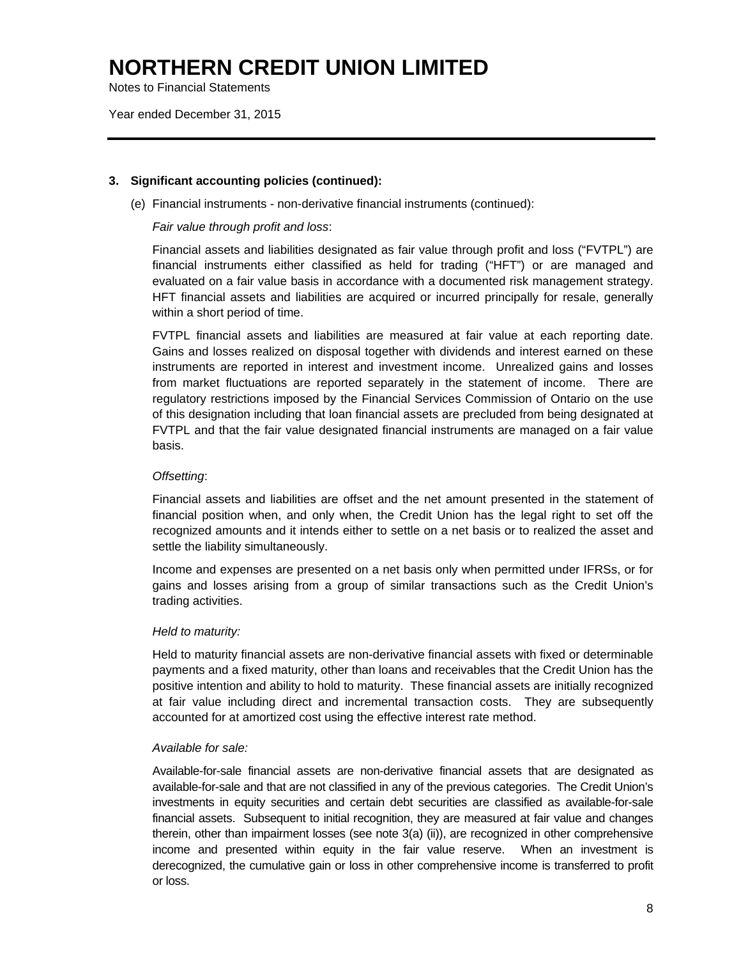Notes to Financial Statements

Year ended December 31, 2015

### **3. Significant accounting policies (continued):**

(e) Financial instruments - non-derivative financial instruments (continued):

### *Fair value through profit and loss*:

 Financial assets and liabilities designated as fair value through profit and loss ("FVTPL") are financial instruments either classified as held for trading ("HFT") or are managed and evaluated on a fair value basis in accordance with a documented risk management strategy. HFT financial assets and liabilities are acquired or incurred principally for resale, generally within a short period of time.

 FVTPL financial assets and liabilities are measured at fair value at each reporting date. Gains and losses realized on disposal together with dividends and interest earned on these instruments are reported in interest and investment income. Unrealized gains and losses from market fluctuations are reported separately in the statement of income. There are regulatory restrictions imposed by the Financial Services Commission of Ontario on the use of this designation including that loan financial assets are precluded from being designated at FVTPL and that the fair value designated financial instruments are managed on a fair value basis.

### *Offsetting*:

Financial assets and liabilities are offset and the net amount presented in the statement of financial position when, and only when, the Credit Union has the legal right to set off the recognized amounts and it intends either to settle on a net basis or to realized the asset and settle the liability simultaneously.

Income and expenses are presented on a net basis only when permitted under IFRSs, or for gains and losses arising from a group of similar transactions such as the Credit Union's trading activities.

#### *Held to maturity:*

Held to maturity financial assets are non-derivative financial assets with fixed or determinable payments and a fixed maturity, other than loans and receivables that the Credit Union has the positive intention and ability to hold to maturity. These financial assets are initially recognized at fair value including direct and incremental transaction costs. They are subsequently accounted for at amortized cost using the effective interest rate method.

#### *Available for sale:*

 Available-for-sale financial assets are non-derivative financial assets that are designated as available-for-sale and that are not classified in any of the previous categories. The Credit Union's investments in equity securities and certain debt securities are classified as available-for-sale financial assets. Subsequent to initial recognition, they are measured at fair value and changes therein, other than impairment losses (see note 3(a) (ii)), are recognized in other comprehensive income and presented within equity in the fair value reserve. When an investment is derecognized, the cumulative gain or loss in other comprehensive income is transferred to profit or loss.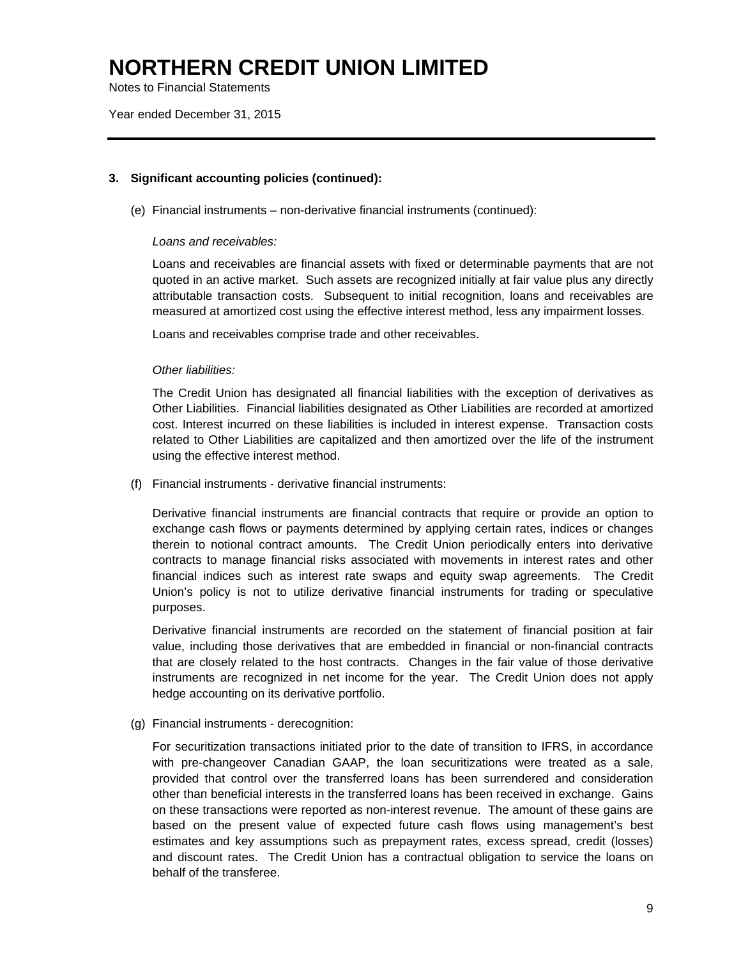Notes to Financial Statements

Year ended December 31, 2015

### **3. Significant accounting policies (continued):**

(e) Financial instruments – non-derivative financial instruments (continued):

#### *Loans and receivables:*

Loans and receivables are financial assets with fixed or determinable payments that are not quoted in an active market. Such assets are recognized initially at fair value plus any directly attributable transaction costs. Subsequent to initial recognition, loans and receivables are measured at amortized cost using the effective interest method, less any impairment losses.

Loans and receivables comprise trade and other receivables.

### *Other liabilities:*

 The Credit Union has designated all financial liabilities with the exception of derivatives as Other Liabilities. Financial liabilities designated as Other Liabilities are recorded at amortized cost. Interest incurred on these liabilities is included in interest expense. Transaction costs related to Other Liabilities are capitalized and then amortized over the life of the instrument using the effective interest method.

(f) Financial instruments - derivative financial instruments:

 Derivative financial instruments are financial contracts that require or provide an option to exchange cash flows or payments determined by applying certain rates, indices or changes therein to notional contract amounts. The Credit Union periodically enters into derivative contracts to manage financial risks associated with movements in interest rates and other financial indices such as interest rate swaps and equity swap agreements. The Credit Union's policy is not to utilize derivative financial instruments for trading or speculative purposes.

Derivative financial instruments are recorded on the statement of financial position at fair value, including those derivatives that are embedded in financial or non-financial contracts that are closely related to the host contracts. Changes in the fair value of those derivative instruments are recognized in net income for the year. The Credit Union does not apply hedge accounting on its derivative portfolio.

(g) Financial instruments - derecognition:

For securitization transactions initiated prior to the date of transition to IFRS, in accordance with pre-changeover Canadian GAAP, the loan securitizations were treated as a sale, provided that control over the transferred loans has been surrendered and consideration other than beneficial interests in the transferred loans has been received in exchange. Gains on these transactions were reported as non-interest revenue. The amount of these gains are based on the present value of expected future cash flows using management's best estimates and key assumptions such as prepayment rates, excess spread, credit (losses) and discount rates. The Credit Union has a contractual obligation to service the loans on behalf of the transferee.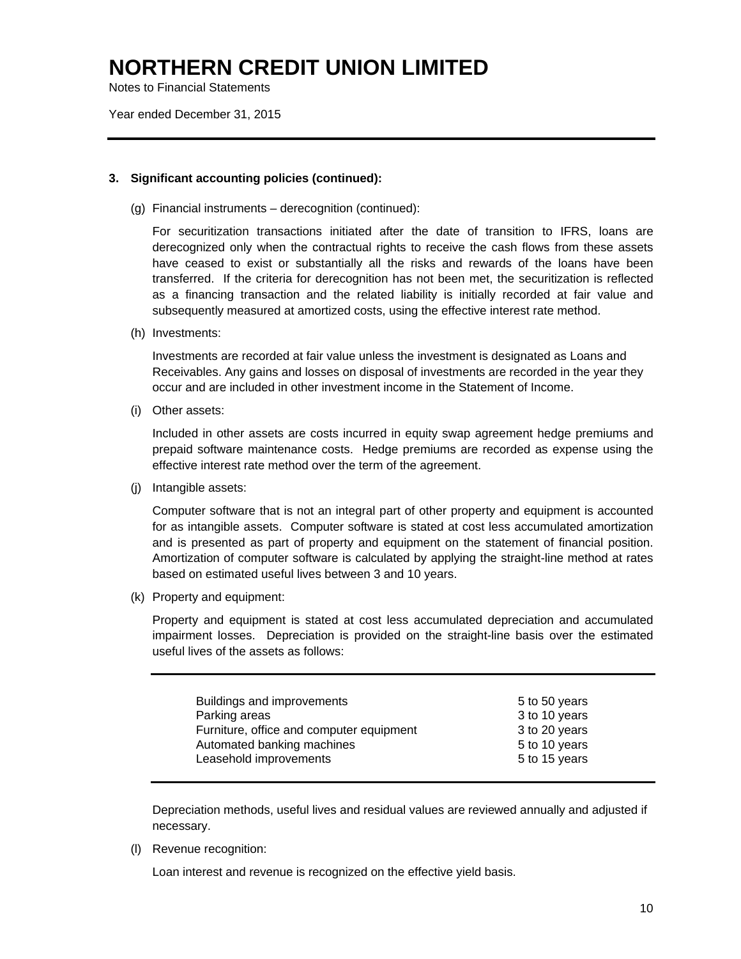Notes to Financial Statements

Year ended December 31, 2015

#### **3. Significant accounting policies (continued):**

(g) Financial instruments – derecognition (continued):

For securitization transactions initiated after the date of transition to IFRS, loans are derecognized only when the contractual rights to receive the cash flows from these assets have ceased to exist or substantially all the risks and rewards of the loans have been transferred. If the criteria for derecognition has not been met, the securitization is reflected as a financing transaction and the related liability is initially recorded at fair value and subsequently measured at amortized costs, using the effective interest rate method.

(h) Investments:

 Investments are recorded at fair value unless the investment is designated as Loans and Receivables. Any gains and losses on disposal of investments are recorded in the year they occur and are included in other investment income in the Statement of Income.

(i) Other assets:

 Included in other assets are costs incurred in equity swap agreement hedge premiums and prepaid software maintenance costs. Hedge premiums are recorded as expense using the effective interest rate method over the term of the agreement.

(j) Intangible assets:

Computer software that is not an integral part of other property and equipment is accounted for as intangible assets. Computer software is stated at cost less accumulated amortization and is presented as part of property and equipment on the statement of financial position. Amortization of computer software is calculated by applying the straight-line method at rates based on estimated useful lives between 3 and 10 years.

(k) Property and equipment:

 Property and equipment is stated at cost less accumulated depreciation and accumulated impairment losses. Depreciation is provided on the straight-line basis over the estimated useful lives of the assets as follows:

| Buildings and improvements<br>Parking areas<br>Furniture, office and computer equipment<br>Automated banking machines<br>Leasehold improvements | 3 to 10 years<br>3 to 20 years<br>5 to 10 years<br>5 to 15 years |
|-------------------------------------------------------------------------------------------------------------------------------------------------|------------------------------------------------------------------|
|-------------------------------------------------------------------------------------------------------------------------------------------------|------------------------------------------------------------------|

Depreciation methods, useful lives and residual values are reviewed annually and adjusted if necessary.

(l) Revenue recognition:

Loan interest and revenue is recognized on the effective yield basis.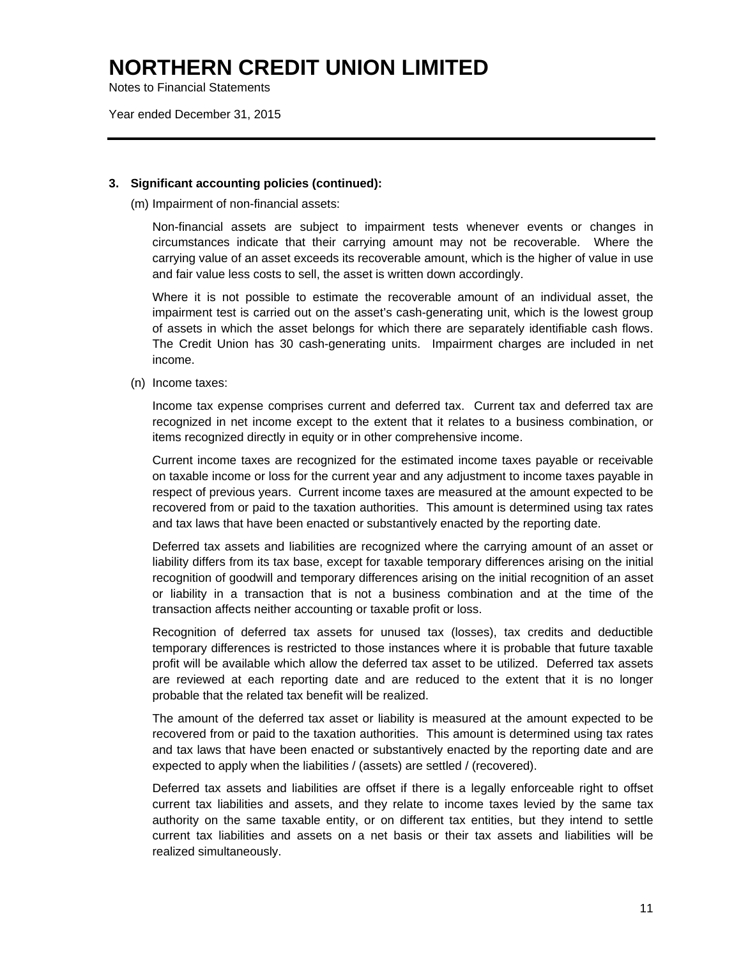Notes to Financial Statements

Year ended December 31, 2015

#### **3. Significant accounting policies (continued):**

(m) Impairment of non-financial assets:

Non-financial assets are subject to impairment tests whenever events or changes in circumstances indicate that their carrying amount may not be recoverable. Where the carrying value of an asset exceeds its recoverable amount, which is the higher of value in use and fair value less costs to sell, the asset is written down accordingly.

Where it is not possible to estimate the recoverable amount of an individual asset, the impairment test is carried out on the asset's cash-generating unit, which is the lowest group of assets in which the asset belongs for which there are separately identifiable cash flows. The Credit Union has 30 cash-generating units. Impairment charges are included in net income.

(n) Income taxes:

 Income tax expense comprises current and deferred tax. Current tax and deferred tax are recognized in net income except to the extent that it relates to a business combination, or items recognized directly in equity or in other comprehensive income.

 Current income taxes are recognized for the estimated income taxes payable or receivable on taxable income or loss for the current year and any adjustment to income taxes payable in respect of previous years. Current income taxes are measured at the amount expected to be recovered from or paid to the taxation authorities. This amount is determined using tax rates and tax laws that have been enacted or substantively enacted by the reporting date.

 Deferred tax assets and liabilities are recognized where the carrying amount of an asset or liability differs from its tax base, except for taxable temporary differences arising on the initial recognition of goodwill and temporary differences arising on the initial recognition of an asset or liability in a transaction that is not a business combination and at the time of the transaction affects neither accounting or taxable profit or loss.

 Recognition of deferred tax assets for unused tax (losses), tax credits and deductible temporary differences is restricted to those instances where it is probable that future taxable profit will be available which allow the deferred tax asset to be utilized. Deferred tax assets are reviewed at each reporting date and are reduced to the extent that it is no longer probable that the related tax benefit will be realized.

 The amount of the deferred tax asset or liability is measured at the amount expected to be recovered from or paid to the taxation authorities. This amount is determined using tax rates and tax laws that have been enacted or substantively enacted by the reporting date and are expected to apply when the liabilities / (assets) are settled / (recovered).

Deferred tax assets and liabilities are offset if there is a legally enforceable right to offset current tax liabilities and assets, and they relate to income taxes levied by the same tax authority on the same taxable entity, or on different tax entities, but they intend to settle current tax liabilities and assets on a net basis or their tax assets and liabilities will be realized simultaneously.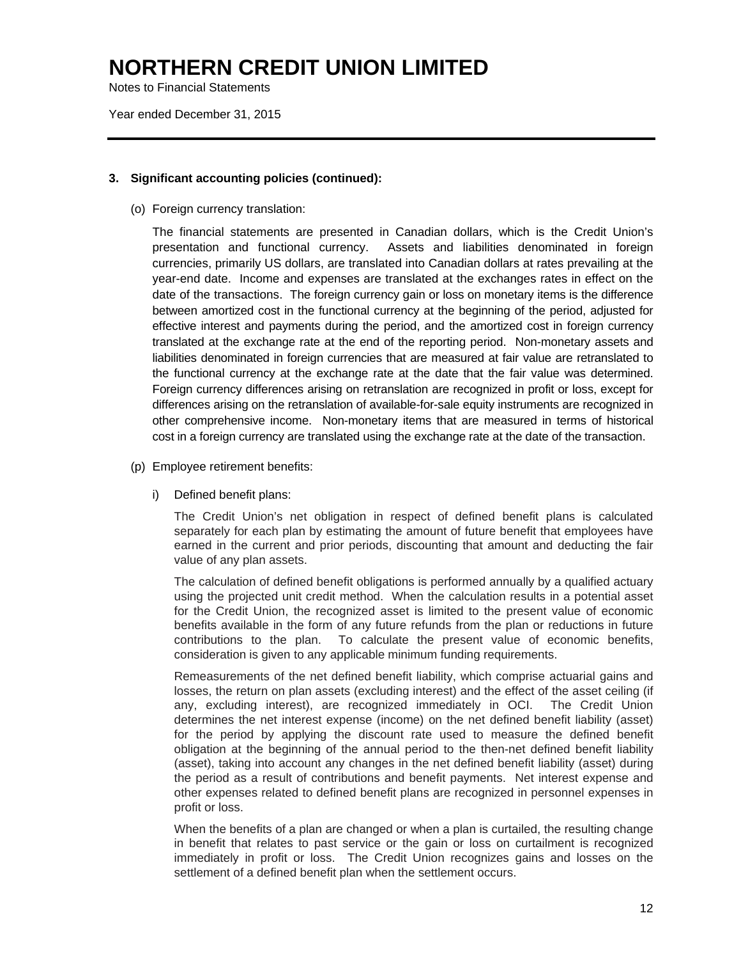Notes to Financial Statements

Year ended December 31, 2015

#### **3. Significant accounting policies (continued):**

(o) Foreign currency translation:

 The financial statements are presented in Canadian dollars, which is the Credit Union's presentation and functional currency. Assets and liabilities denominated in foreign currencies, primarily US dollars, are translated into Canadian dollars at rates prevailing at the year-end date. Income and expenses are translated at the exchanges rates in effect on the date of the transactions. The foreign currency gain or loss on monetary items is the difference between amortized cost in the functional currency at the beginning of the period, adjusted for effective interest and payments during the period, and the amortized cost in foreign currency translated at the exchange rate at the end of the reporting period. Non-monetary assets and liabilities denominated in foreign currencies that are measured at fair value are retranslated to the functional currency at the exchange rate at the date that the fair value was determined. Foreign currency differences arising on retranslation are recognized in profit or loss, except for differences arising on the retranslation of available-for-sale equity instruments are recognized in other comprehensive income. Non-monetary items that are measured in terms of historical cost in a foreign currency are translated using the exchange rate at the date of the transaction.

- (p) Employee retirement benefits:
	- i) Defined benefit plans:

The Credit Union's net obligation in respect of defined benefit plans is calculated separately for each plan by estimating the amount of future benefit that employees have earned in the current and prior periods, discounting that amount and deducting the fair value of any plan assets.

The calculation of defined benefit obligations is performed annually by a qualified actuary using the projected unit credit method. When the calculation results in a potential asset for the Credit Union, the recognized asset is limited to the present value of economic benefits available in the form of any future refunds from the plan or reductions in future contributions to the plan. To calculate the present value of economic benefits, consideration is given to any applicable minimum funding requirements.

Remeasurements of the net defined benefit liability, which comprise actuarial gains and losses, the return on plan assets (excluding interest) and the effect of the asset ceiling (if any, excluding interest), are recognized immediately in OCI. The Credit Union determines the net interest expense (income) on the net defined benefit liability (asset) for the period by applying the discount rate used to measure the defined benefit obligation at the beginning of the annual period to the then-net defined benefit liability (asset), taking into account any changes in the net defined benefit liability (asset) during the period as a result of contributions and benefit payments. Net interest expense and other expenses related to defined benefit plans are recognized in personnel expenses in profit or loss.

When the benefits of a plan are changed or when a plan is curtailed, the resulting change in benefit that relates to past service or the gain or loss on curtailment is recognized immediately in profit or loss. The Credit Union recognizes gains and losses on the settlement of a defined benefit plan when the settlement occurs.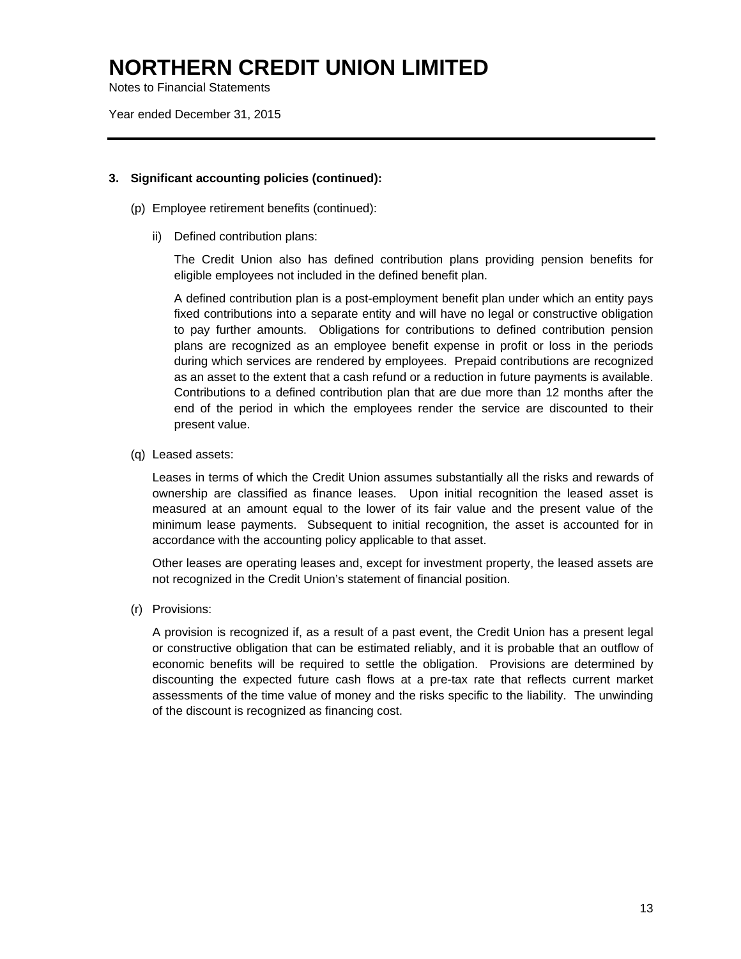Notes to Financial Statements

Year ended December 31, 2015

### **3. Significant accounting policies (continued):**

- (p) Employee retirement benefits (continued):
	- ii) Defined contribution plans:

The Credit Union also has defined contribution plans providing pension benefits for eligible employees not included in the defined benefit plan.

A defined contribution plan is a post-employment benefit plan under which an entity pays fixed contributions into a separate entity and will have no legal or constructive obligation to pay further amounts. Obligations for contributions to defined contribution pension plans are recognized as an employee benefit expense in profit or loss in the periods during which services are rendered by employees. Prepaid contributions are recognized as an asset to the extent that a cash refund or a reduction in future payments is available. Contributions to a defined contribution plan that are due more than 12 months after the end of the period in which the employees render the service are discounted to their present value.

(q) Leased assets:

 Leases in terms of which the Credit Union assumes substantially all the risks and rewards of ownership are classified as finance leases. Upon initial recognition the leased asset is measured at an amount equal to the lower of its fair value and the present value of the minimum lease payments. Subsequent to initial recognition, the asset is accounted for in accordance with the accounting policy applicable to that asset.

 Other leases are operating leases and, except for investment property, the leased assets are not recognized in the Credit Union's statement of financial position.

(r) Provisions:

A provision is recognized if, as a result of a past event, the Credit Union has a present legal or constructive obligation that can be estimated reliably, and it is probable that an outflow of economic benefits will be required to settle the obligation. Provisions are determined by discounting the expected future cash flows at a pre-tax rate that reflects current market assessments of the time value of money and the risks specific to the liability. The unwinding of the discount is recognized as financing cost.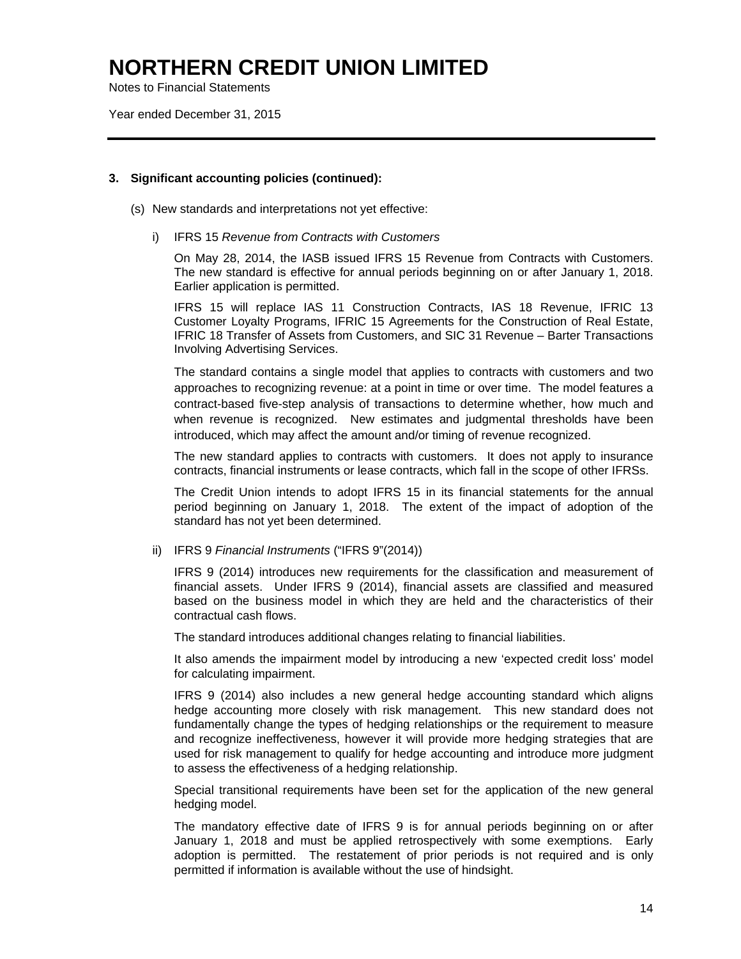Notes to Financial Statements

Year ended December 31, 2015

#### **3. Significant accounting policies (continued):**

- (s) New standards and interpretations not yet effective:
	- i) IFRS 15 *Revenue from Contracts with Customers*

On May 28, 2014, the IASB issued IFRS 15 Revenue from Contracts with Customers. The new standard is effective for annual periods beginning on or after January 1, 2018. Earlier application is permitted.

IFRS 15 will replace IAS 11 Construction Contracts, IAS 18 Revenue, IFRIC 13 Customer Loyalty Programs, IFRIC 15 Agreements for the Construction of Real Estate, IFRIC 18 Transfer of Assets from Customers, and SIC 31 Revenue – Barter Transactions Involving Advertising Services.

The standard contains a single model that applies to contracts with customers and two approaches to recognizing revenue: at a point in time or over time. The model features a contract-based five-step analysis of transactions to determine whether, how much and when revenue is recognized. New estimates and judgmental thresholds have been introduced, which may affect the amount and/or timing of revenue recognized.

The new standard applies to contracts with customers. It does not apply to insurance contracts, financial instruments or lease contracts, which fall in the scope of other IFRSs.

The Credit Union intends to adopt IFRS 15 in its financial statements for the annual period beginning on January 1, 2018. The extent of the impact of adoption of the standard has not yet been determined.

#### ii) IFRS 9 *Financial Instruments* ("IFRS 9"(2014))

IFRS 9 (2014) introduces new requirements for the classification and measurement of financial assets. Under IFRS 9 (2014), financial assets are classified and measured based on the business model in which they are held and the characteristics of their contractual cash flows.

The standard introduces additional changes relating to financial liabilities.

It also amends the impairment model by introducing a new 'expected credit loss' model for calculating impairment.

IFRS 9 (2014) also includes a new general hedge accounting standard which aligns hedge accounting more closely with risk management. This new standard does not fundamentally change the types of hedging relationships or the requirement to measure and recognize ineffectiveness, however it will provide more hedging strategies that are used for risk management to qualify for hedge accounting and introduce more judgment to assess the effectiveness of a hedging relationship.

Special transitional requirements have been set for the application of the new general hedging model.

The mandatory effective date of IFRS 9 is for annual periods beginning on or after January 1, 2018 and must be applied retrospectively with some exemptions. Early adoption is permitted. The restatement of prior periods is not required and is only permitted if information is available without the use of hindsight.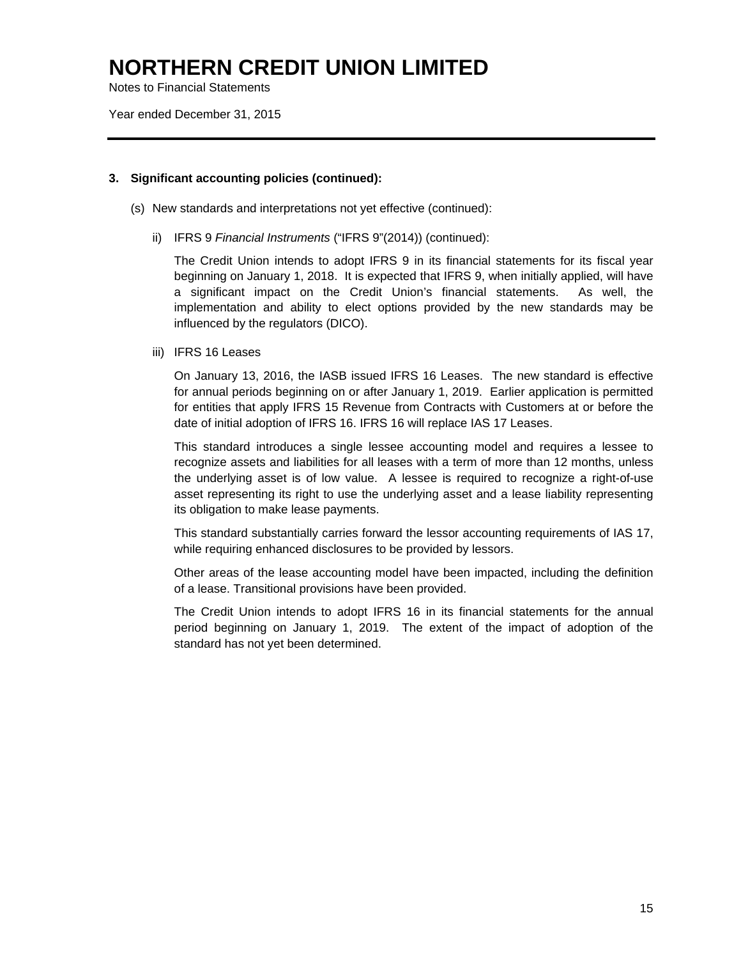Notes to Financial Statements

Year ended December 31, 2015

#### **3. Significant accounting policies (continued):**

- (s) New standards and interpretations not yet effective (continued):
	- ii) IFRS 9 *Financial Instruments* ("IFRS 9"(2014)) (continued):

The Credit Union intends to adopt IFRS 9 in its financial statements for its fiscal year beginning on January 1, 2018. It is expected that IFRS 9, when initially applied, will have a significant impact on the Credit Union's financial statements. As well, the implementation and ability to elect options provided by the new standards may be influenced by the regulators (DICO).

#### iii) IFRS 16 Leases

On January 13, 2016, the IASB issued IFRS 16 Leases. The new standard is effective for annual periods beginning on or after January 1, 2019. Earlier application is permitted for entities that apply IFRS 15 Revenue from Contracts with Customers at or before the date of initial adoption of IFRS 16. IFRS 16 will replace IAS 17 Leases.

This standard introduces a single lessee accounting model and requires a lessee to recognize assets and liabilities for all leases with a term of more than 12 months, unless the underlying asset is of low value. A lessee is required to recognize a right-of-use asset representing its right to use the underlying asset and a lease liability representing its obligation to make lease payments.

This standard substantially carries forward the lessor accounting requirements of IAS 17, while requiring enhanced disclosures to be provided by lessors.

Other areas of the lease accounting model have been impacted, including the definition of a lease. Transitional provisions have been provided.

The Credit Union intends to adopt IFRS 16 in its financial statements for the annual period beginning on January 1, 2019. The extent of the impact of adoption of the standard has not yet been determined.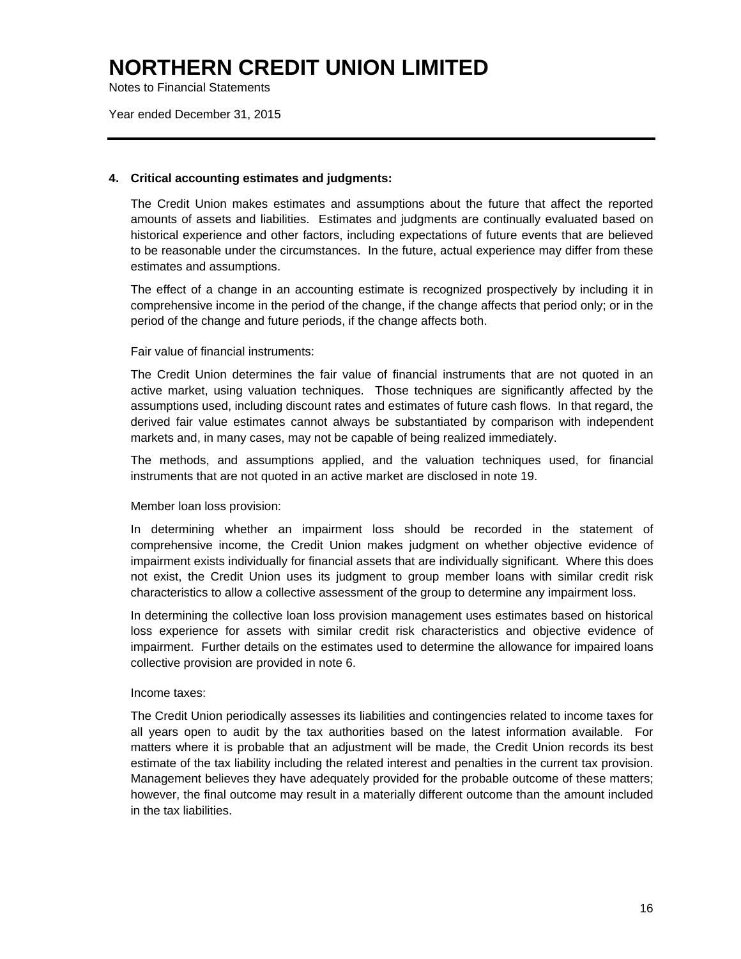Notes to Financial Statements

Year ended December 31, 2015

#### **4. Critical accounting estimates and judgments:**

The Credit Union makes estimates and assumptions about the future that affect the reported amounts of assets and liabilities. Estimates and judgments are continually evaluated based on historical experience and other factors, including expectations of future events that are believed to be reasonable under the circumstances. In the future, actual experience may differ from these estimates and assumptions.

The effect of a change in an accounting estimate is recognized prospectively by including it in comprehensive income in the period of the change, if the change affects that period only; or in the period of the change and future periods, if the change affects both.

### Fair value of financial instruments:

The Credit Union determines the fair value of financial instruments that are not quoted in an active market, using valuation techniques. Those techniques are significantly affected by the assumptions used, including discount rates and estimates of future cash flows. In that regard, the derived fair value estimates cannot always be substantiated by comparison with independent markets and, in many cases, may not be capable of being realized immediately.

The methods, and assumptions applied, and the valuation techniques used, for financial instruments that are not quoted in an active market are disclosed in note 19.

#### Member loan loss provision:

In determining whether an impairment loss should be recorded in the statement of comprehensive income, the Credit Union makes judgment on whether objective evidence of impairment exists individually for financial assets that are individually significant. Where this does not exist, the Credit Union uses its judgment to group member loans with similar credit risk characteristics to allow a collective assessment of the group to determine any impairment loss.

In determining the collective loan loss provision management uses estimates based on historical loss experience for assets with similar credit risk characteristics and objective evidence of impairment. Further details on the estimates used to determine the allowance for impaired loans collective provision are provided in note 6.

#### Income taxes:

The Credit Union periodically assesses its liabilities and contingencies related to income taxes for all years open to audit by the tax authorities based on the latest information available. For matters where it is probable that an adjustment will be made, the Credit Union records its best estimate of the tax liability including the related interest and penalties in the current tax provision. Management believes they have adequately provided for the probable outcome of these matters; however, the final outcome may result in a materially different outcome than the amount included in the tax liabilities.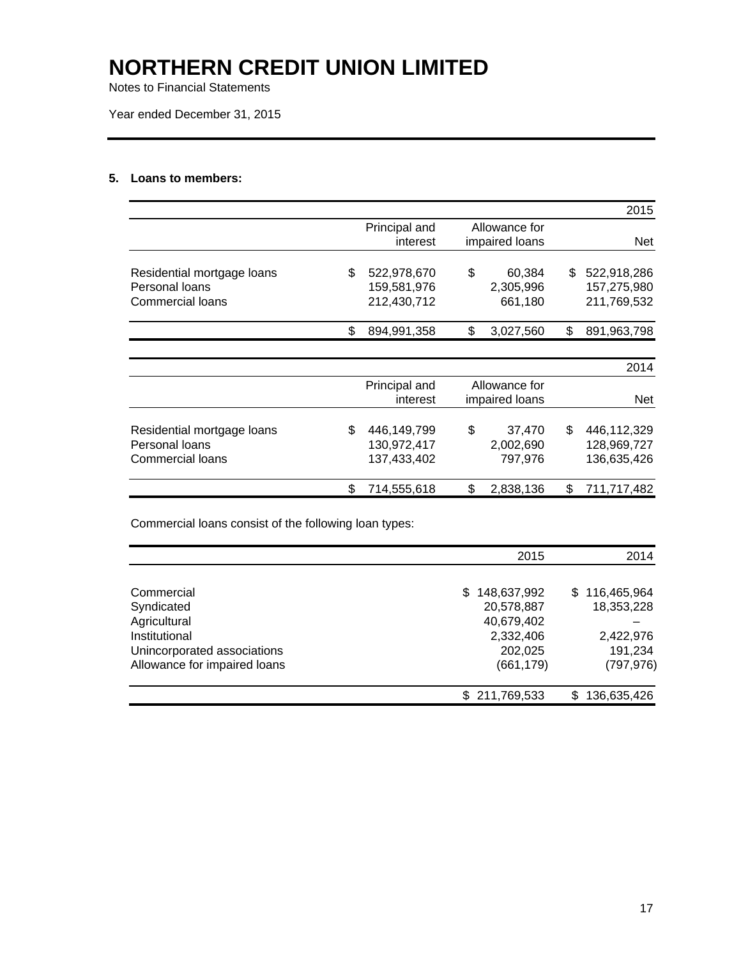Notes to Financial Statements

Year ended December 31, 2015

### **5. Loans to members:**

|                                                                         |                                                 |                                      | 2015                                            |
|-------------------------------------------------------------------------|-------------------------------------------------|--------------------------------------|-------------------------------------------------|
|                                                                         | Principal and<br>interest                       | Allowance for<br>impaired loans      | <b>Net</b>                                      |
| Residential mortgage loans<br>Personal loans<br><b>Commercial loans</b> | \$<br>522,978,670<br>159,581,976<br>212,430,712 | \$<br>60,384<br>2,305,996<br>661,180 | \$<br>522,918,286<br>157,275,980<br>211,769,532 |
|                                                                         | \$<br>894,991,358                               | \$<br>3,027,560                      | \$<br>891,963,798                               |
|                                                                         |                                                 |                                      | 2014                                            |
|                                                                         | Principal and<br>interest                       | Allowance for<br>impaired loans      | Net                                             |
| Residential mortgage loans<br>Personal loans<br>Commercial loans        | \$<br>446,149,799<br>130,972,417<br>137,433,402 | \$<br>37,470<br>2,002,690<br>797,976 | \$<br>446,112,329<br>128,969,727<br>136,635,426 |
|                                                                         | \$<br>714,555,618                               | \$<br>2,838,136                      | \$<br>711,717,482                               |

Commercial loans consist of the following loan types:

|                              | 2015               | 2014          |
|------------------------------|--------------------|---------------|
|                              |                    |               |
| Commercial                   | 148,637,992<br>\$. | \$116,465,964 |
| Syndicated                   | 20,578,887         | 18,353,228    |
| Agricultural                 | 40,679,402         |               |
| Institutional                | 2,332,406          | 2,422,976     |
| Unincorporated associations  | 202,025            | 191,234       |
| Allowance for impaired loans | (661, 179)         | (797, 976)    |
|                              | \$211,769,533      | 136,635,426   |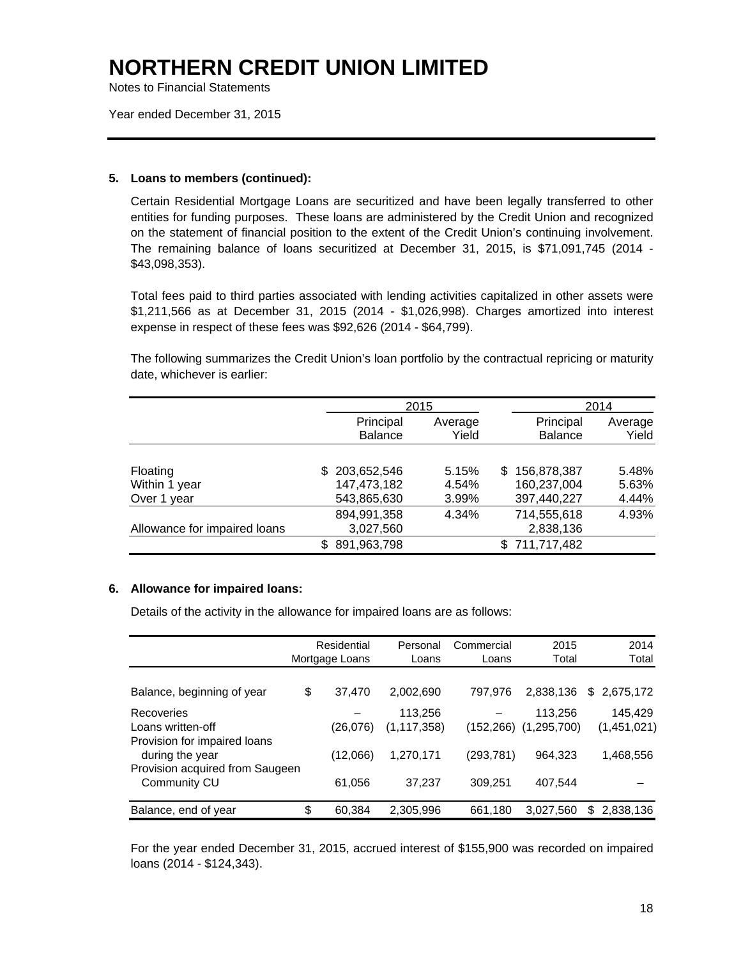Notes to Financial Statements

Year ended December 31, 2015

#### **5. Loans to members (continued):**

Certain Residential Mortgage Loans are securitized and have been legally transferred to other entities for funding purposes. These loans are administered by the Credit Union and recognized on the statement of financial position to the extent of the Credit Union's continuing involvement. The remaining balance of loans securitized at December 31, 2015, is \$71,091,745 (2014 - \$43,098,353).

Total fees paid to third parties associated with lending activities capitalized in other assets were \$1,211,566 as at December 31, 2015 (2014 - \$1,026,998). Charges amortized into interest expense in respect of these fees was \$92,626 (2014 - \$64,799).

The following summarizes the Credit Union's loan portfolio by the contractual repricing or maturity date, whichever is earlier:

|                              |                      | 2015             |    |                             | 2014             |  |
|------------------------------|----------------------|------------------|----|-----------------------------|------------------|--|
|                              | Principal<br>Balance | Average<br>Yield |    | Principal<br><b>Balance</b> | Average<br>Yield |  |
| Floating                     | \$203,652,546        | 5.15%            | S. | 156,878,387                 | 5.48%            |  |
| Within 1 year                | 147,473,182          | 4.54%            |    | 160,237,004                 | 5.63%            |  |
| Over 1 year                  | 543,865,630          | 3.99%            |    | 397,440,227                 | 4.44%            |  |
|                              | 894,991,358          | 4.34%            |    | 714,555,618                 | 4.93%            |  |
| Allowance for impaired loans | 3,027,560            |                  |    | 2,838,136                   |                  |  |
|                              | 891,963,798          |                  |    | 711,717,482                 |                  |  |

#### **6. Allowance for impaired loans:**

Details of the activity in the allowance for impaired loans are as follows:

|                                 | Residential<br>Mortgage Loans | Personal<br>Loans | Commercial<br>Loans | 2015<br>Total | 2014<br>Total   |
|---------------------------------|-------------------------------|-------------------|---------------------|---------------|-----------------|
| Balance, beginning of year      | \$<br>37.470                  | 2.002.690         | 797.976             | 2,838,136     | S.<br>2,675,172 |
|                                 |                               |                   |                     |               |                 |
| <b>Recoveries</b>               |                               | 113,256           |                     | 113,256       | 145,429         |
| Loans written-off               | (26,076)                      | (1, 117, 358)     | (152, 266)          | (1,295,700)   | (1,451,021)     |
| Provision for impaired loans    |                               |                   |                     |               |                 |
| during the year                 | (12,066)                      | 1.270.171         | (293,781)           | 964,323       | 1,468,556       |
| Provision acquired from Saugeen |                               |                   |                     |               |                 |
| Community CU                    | 61.056                        | 37.237            | 309.251             | 407.544       |                 |
| Balance, end of year            | \$<br>60.384                  | 2,305,996         | 661,180             | 3,027,560     | \$<br>2,838,136 |

For the year ended December 31, 2015, accrued interest of \$155,900 was recorded on impaired loans (2014 - \$124,343).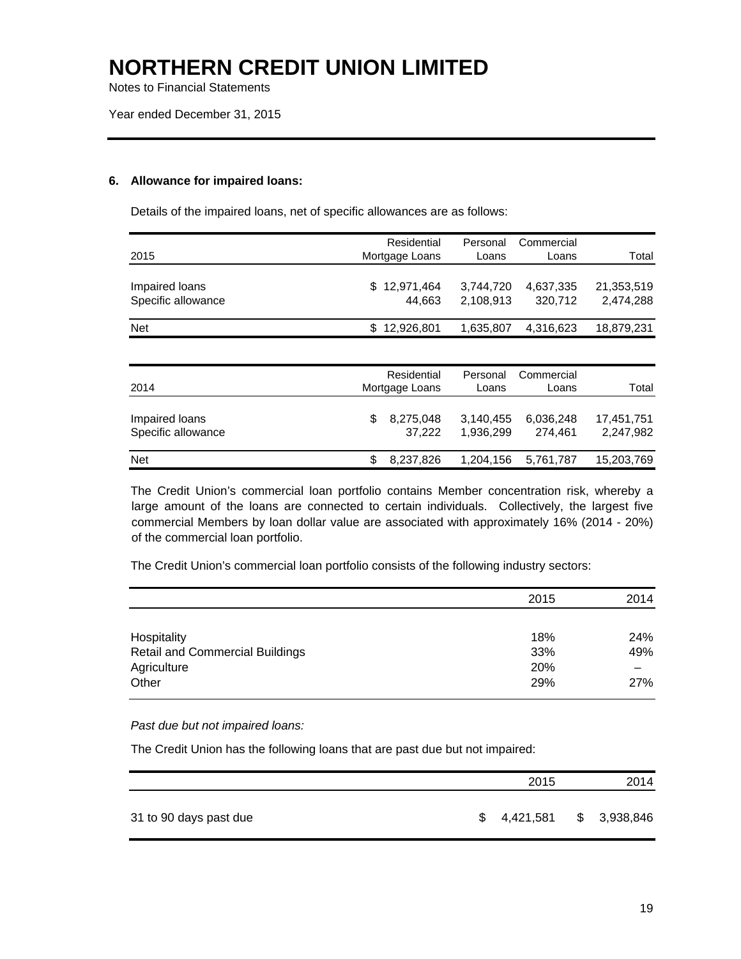Notes to Financial Statements

### **6. Allowance for impaired loans:**

Details of the impaired loans, net of specific allowances are as follows:

|                    | Residential      | Personal  | Commercial |            |
|--------------------|------------------|-----------|------------|------------|
| 2015               | Mortgage Loans   |           | Loans      | Total      |
|                    |                  |           |            |            |
| Impaired loans     | 12,971,464<br>\$ | 3,744,720 | 4,637,335  | 21,353,519 |
| Specific allowance | 44,663           | 2,108,913 | 320,712    | 2,474,288  |
| <b>Net</b>         | 12,926,801<br>S  | 1,635,807 | 4,316,623  | 18,879,231 |
|                    |                  |           |            |            |
|                    | Residential      | Personal  | Commercial |            |
| 2014               | Mortgage Loans   | Loans     | Loans      | Total      |
| Impaired loans     | \$<br>8,275,048  | 3,140,455 | 6,036,248  | 17,451,751 |
| Specific allowance | 37,222           | 1,936,299 | 274.461    | 2,247,982  |
| <b>Net</b>         | \$<br>8,237,826  | 1,204,156 | 5,761,787  | 15,203,769 |

The Credit Union's commercial loan portfolio contains Member concentration risk, whereby a large amount of the loans are connected to certain individuals. Collectively, the largest five commercial Members by loan dollar value are associated with approximately 16% (2014 - 20%) of the commercial loan portfolio.

The Credit Union's commercial loan portfolio consists of the following industry sectors:

|                                        | 2015 | 2014 |
|----------------------------------------|------|------|
|                                        |      |      |
| Hospitality                            | 18%  | 24%  |
| <b>Retail and Commercial Buildings</b> | 33%  | 49%  |
| Agriculture                            | 20%  |      |
| Other                                  | 29%  | 27%  |

#### *Past due but not impaired loans:*

The Credit Union has the following loans that are past due but not impaired:

|                        |     | 2015      | 2014         |
|------------------------|-----|-----------|--------------|
| 31 to 90 days past due | \$. | 4,421,581 | \$ 3,938,846 |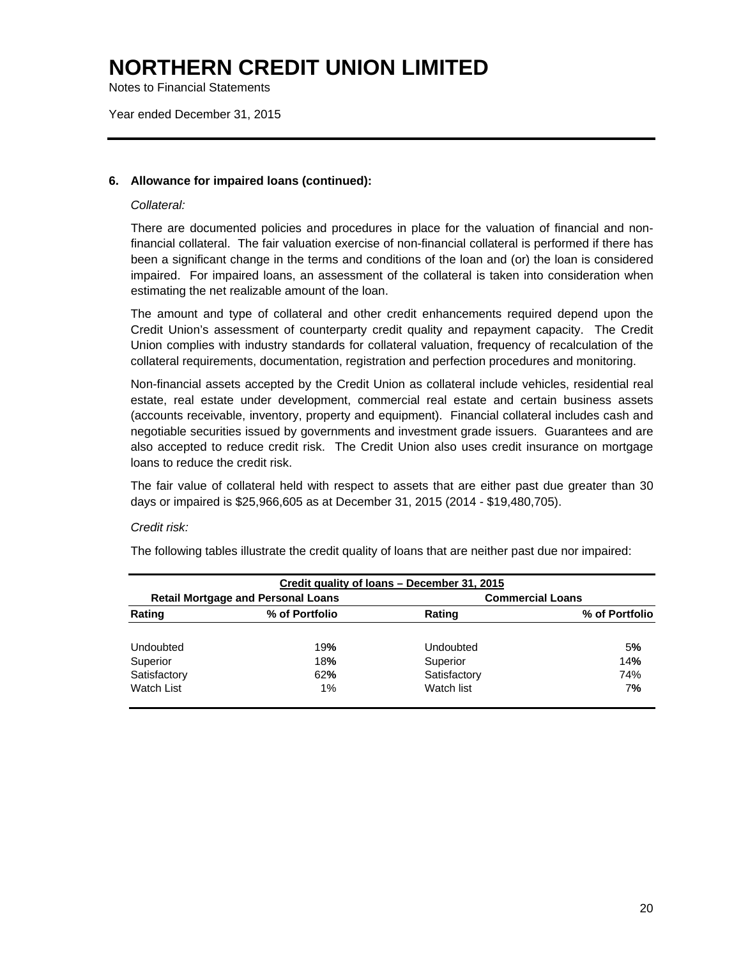Notes to Financial Statements

Year ended December 31, 2015

### **6. Allowance for impaired loans (continued):**

#### *Collateral:*

There are documented policies and procedures in place for the valuation of financial and nonfinancial collateral. The fair valuation exercise of non-financial collateral is performed if there has been a significant change in the terms and conditions of the loan and (or) the loan is considered impaired. For impaired loans, an assessment of the collateral is taken into consideration when estimating the net realizable amount of the loan.

The amount and type of collateral and other credit enhancements required depend upon the Credit Union's assessment of counterparty credit quality and repayment capacity. The Credit Union complies with industry standards for collateral valuation, frequency of recalculation of the collateral requirements, documentation, registration and perfection procedures and monitoring.

Non-financial assets accepted by the Credit Union as collateral include vehicles, residential real estate, real estate under development, commercial real estate and certain business assets (accounts receivable, inventory, property and equipment). Financial collateral includes cash and negotiable securities issued by governments and investment grade issuers. Guarantees and are also accepted to reduce credit risk. The Credit Union also uses credit insurance on mortgage loans to reduce the credit risk.

The fair value of collateral held with respect to assets that are either past due greater than 30 days or impaired is \$25,966,605 as at December 31, 2015 (2014 - \$19,480,705).

#### *Credit risk:*

The following tables illustrate the credit quality of loans that are neither past due nor impaired:

|                   |                                           | Credit quality of loans - December 31, 2015 |                         |
|-------------------|-------------------------------------------|---------------------------------------------|-------------------------|
|                   | <b>Retail Mortgage and Personal Loans</b> |                                             | <b>Commercial Loans</b> |
| Rating            | % of Portfolio                            | Rating                                      | % of Portfolio          |
| Undoubted         | 19%                                       | Undoubted                                   | 5%                      |
| Superior          | 18%                                       | Superior                                    | 14%                     |
| Satisfactory      | 62%                                       | Satisfactory                                | 74%                     |
| <b>Watch List</b> | $1\%$                                     | Watch list                                  | 7%                      |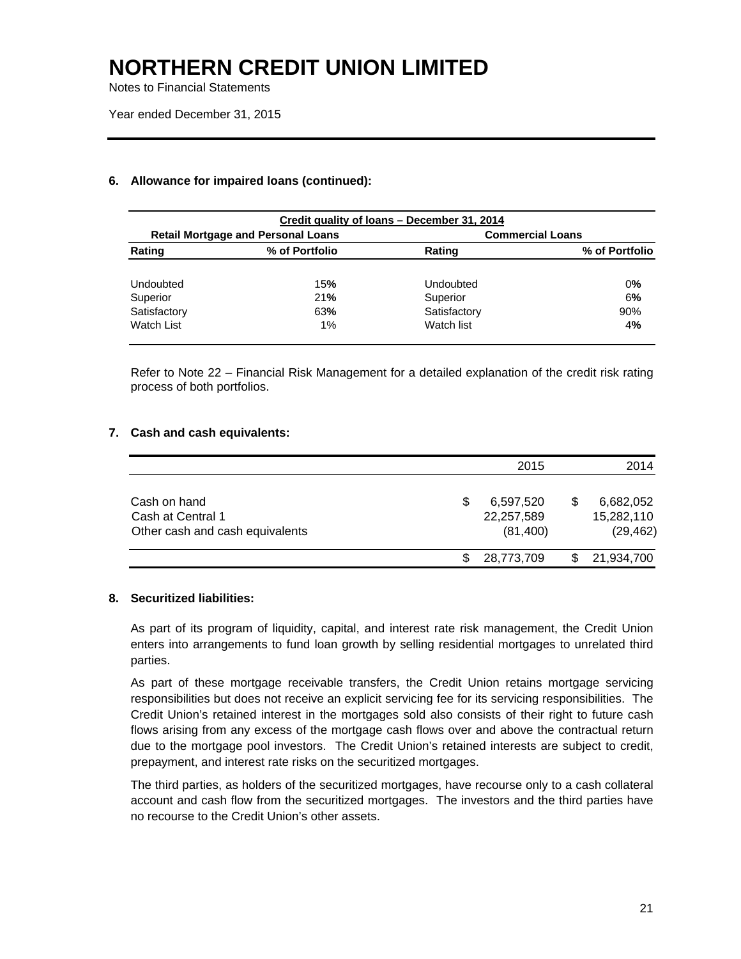Notes to Financial Statements

### **6. Allowance for impaired loans (continued):**

|              |                                           | Credit quality of loans - December 31, 2014 |                         |
|--------------|-------------------------------------------|---------------------------------------------|-------------------------|
|              | <b>Retail Mortgage and Personal Loans</b> |                                             | <b>Commercial Loans</b> |
| Rating       | % of Portfolio                            | Rating                                      | % of Portfolio          |
| Undoubted    | 15%                                       | Undoubted                                   | 0%                      |
| Superior     | <b>21%</b>                                | Superior                                    | 6%                      |
| Satisfactory | 63%                                       | Satisfactory                                | 90%                     |
| Watch List   | $1\%$                                     | Watch list                                  | 4%                      |
|              |                                           |                                             |                         |

Refer to Note 22 – Financial Risk Management for a detailed explanation of the credit risk rating process of both portfolios.

### **7. Cash and cash equivalents:**

|                                                                      | 2015                                       | 2014                                 |
|----------------------------------------------------------------------|--------------------------------------------|--------------------------------------|
| Cash on hand<br>Cash at Central 1<br>Other cash and cash equivalents | \$<br>6,597,520<br>22,257,589<br>(81, 400) | 6,682,052<br>15,282,110<br>(29, 462) |
|                                                                      | 28,773,709                                 | 21,934,700                           |

#### **8. Securitized liabilities:**

 As part of its program of liquidity, capital, and interest rate risk management, the Credit Union enters into arrangements to fund loan growth by selling residential mortgages to unrelated third parties.

 As part of these mortgage receivable transfers, the Credit Union retains mortgage servicing responsibilities but does not receive an explicit servicing fee for its servicing responsibilities. The Credit Union's retained interest in the mortgages sold also consists of their right to future cash flows arising from any excess of the mortgage cash flows over and above the contractual return due to the mortgage pool investors. The Credit Union's retained interests are subject to credit, prepayment, and interest rate risks on the securitized mortgages.

 The third parties, as holders of the securitized mortgages, have recourse only to a cash collateral account and cash flow from the securitized mortgages. The investors and the third parties have no recourse to the Credit Union's other assets.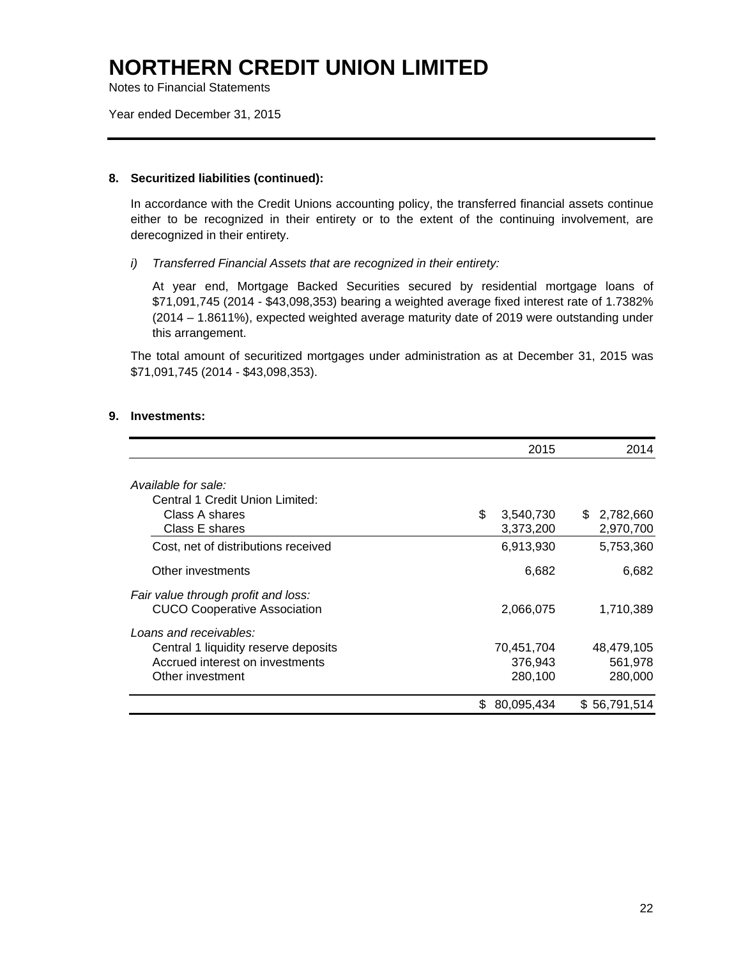Notes to Financial Statements

Year ended December 31, 2015

#### **8. Securitized liabilities (continued):**

In accordance with the Credit Unions accounting policy, the transferred financial assets continue either to be recognized in their entirety or to the extent of the continuing involvement, are derecognized in their entirety.

### *i) Transferred Financial Assets that are recognized in their entirety:*

At year end, Mortgage Backed Securities secured by residential mortgage loans of \$71,091,745 (2014 - \$43,098,353) bearing a weighted average fixed interest rate of 1.7382% (2014 – 1.8611%), expected weighted average maturity date of 2019 were outstanding under this arrangement.

The total amount of securitized mortgages under administration as at December 31, 2015 was \$71,091,745 (2014 - \$43,098,353).

### **9. Investments:**

|                                                                            | 2015             | 2014         |
|----------------------------------------------------------------------------|------------------|--------------|
|                                                                            |                  |              |
| Available for sale:                                                        |                  |              |
| Central 1 Credit Union Limited:                                            |                  |              |
| Class A shares                                                             | \$.<br>3,540,730 | \$2,782,660  |
| Class E shares                                                             | 3,373,200        | 2,970,700    |
| Cost, net of distributions received                                        | 6,913,930        | 5,753,360    |
| Other investments                                                          | 6,682            | 6,682        |
| Fair value through profit and loss:<br><b>CUCO Cooperative Association</b> | 2,066,075        | 1,710,389    |
| Loans and receivables:                                                     |                  |              |
| Central 1 liquidity reserve deposits                                       | 70,451,704       | 48,479,105   |
| Accrued interest on investments                                            | 376,943          | 561,978      |
| Other investment                                                           | 280,100          | 280,000      |
|                                                                            | 80,095,434<br>S  | \$56,791,514 |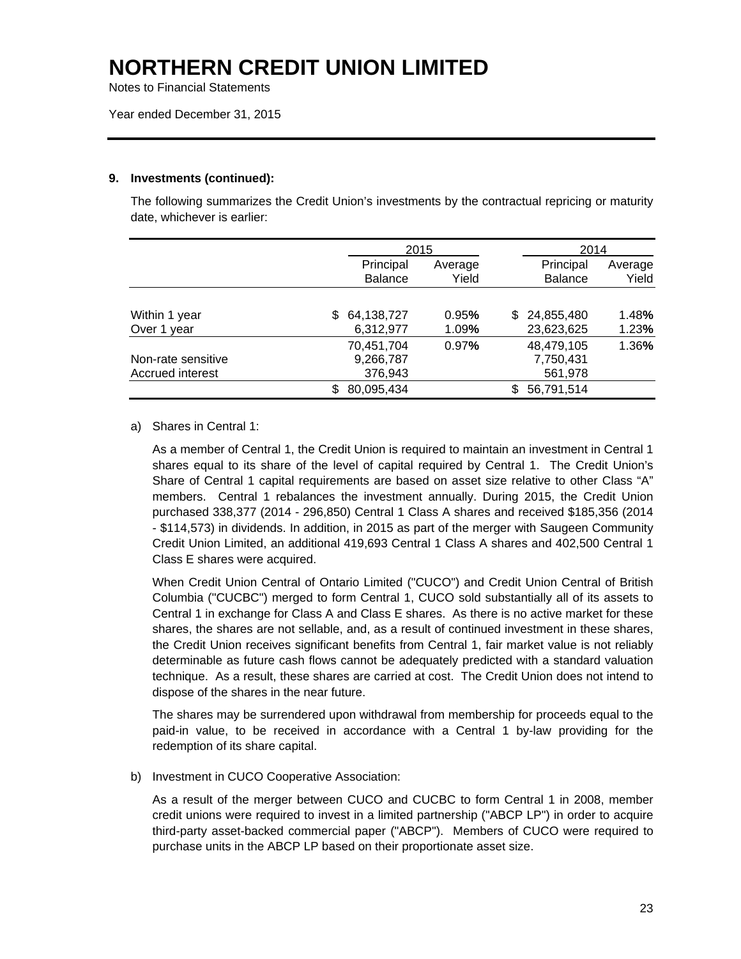Notes to Financial Statements

### **9. Investments (continued):**

The following summarizes the Credit Union's investments by the contractual repricing or maturity date, whichever is earlier:

|                    |                   | 2015    | 2014              |         |
|--------------------|-------------------|---------|-------------------|---------|
|                    | Principal         | Average | Principal         | Average |
|                    | <b>Balance</b>    | Yield   | <b>Balance</b>    | Yield   |
|                    |                   |         |                   |         |
| Within 1 year      | 64,138,727<br>\$. | 0.95%   | 24,855,480<br>SS. | 1.48%   |
| Over 1 year        | 6,312,977         | 1.09%   | 23,623,625        | 1.23%   |
|                    | 70,451,704        | 0.97%   | 48,479,105        | 1.36%   |
| Non-rate sensitive | 9,266,787         |         | 7,750,431         |         |
| Accrued interest   | 376,943           |         | 561,978           |         |
|                    | 80,095,434<br>\$. |         | 56,791,514        |         |

### a) Shares in Central 1:

As a member of Central 1, the Credit Union is required to maintain an investment in Central 1 shares equal to its share of the level of capital required by Central 1. The Credit Union's Share of Central 1 capital requirements are based on asset size relative to other Class "A" members. Central 1 rebalances the investment annually. During 2015, the Credit Union purchased 338,377 (2014 - 296,850) Central 1 Class A shares and received \$185,356 (2014 - \$114,573) in dividends. In addition, in 2015 as part of the merger with Saugeen Community Credit Union Limited, an additional 419,693 Central 1 Class A shares and 402,500 Central 1 Class E shares were acquired.

When Credit Union Central of Ontario Limited ("CUCO") and Credit Union Central of British Columbia ("CUCBC") merged to form Central 1, CUCO sold substantially all of its assets to Central 1 in exchange for Class A and Class E shares. As there is no active market for these shares, the shares are not sellable, and, as a result of continued investment in these shares, the Credit Union receives significant benefits from Central 1, fair market value is not reliably determinable as future cash flows cannot be adequately predicted with a standard valuation technique. As a result, these shares are carried at cost. The Credit Union does not intend to dispose of the shares in the near future.

The shares may be surrendered upon withdrawal from membership for proceeds equal to the paid-in value, to be received in accordance with a Central 1 by-law providing for the redemption of its share capital.

b) Investment in CUCO Cooperative Association:

 As a result of the merger between CUCO and CUCBC to form Central 1 in 2008, member credit unions were required to invest in a limited partnership ("ABCP LP") in order to acquire third-party asset-backed commercial paper ("ABCP"). Members of CUCO were required to purchase units in the ABCP LP based on their proportionate asset size.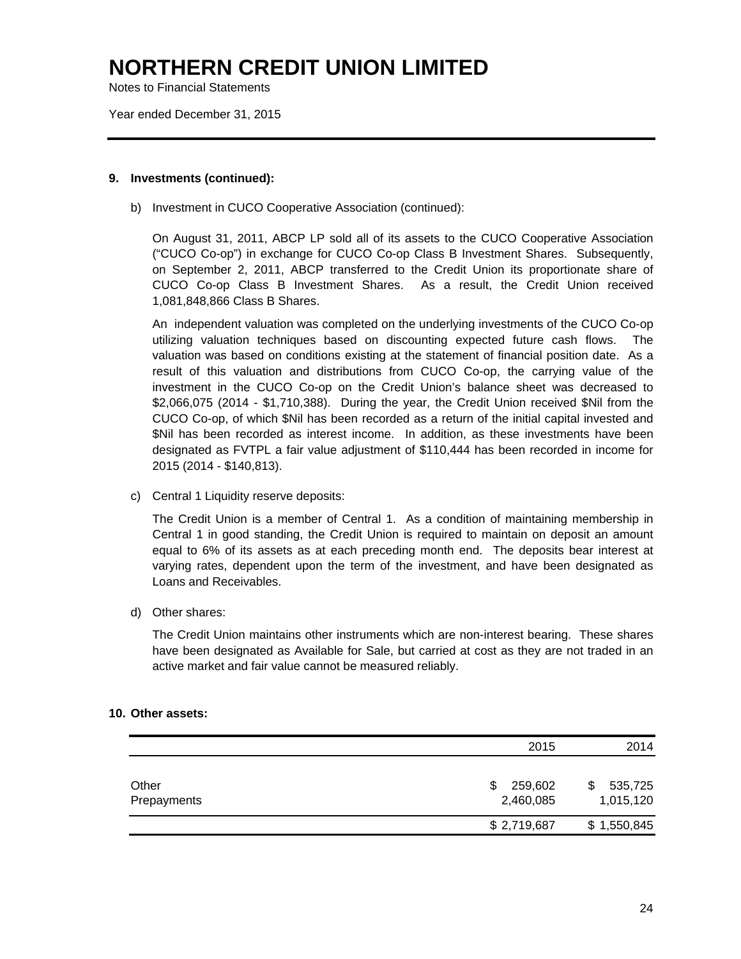Notes to Financial Statements

Year ended December 31, 2015

#### **9. Investments (continued):**

b) Investment in CUCO Cooperative Association (continued):

On August 31, 2011, ABCP LP sold all of its assets to the CUCO Cooperative Association ("CUCO Co-op") in exchange for CUCO Co-op Class B Investment Shares. Subsequently, on September 2, 2011, ABCP transferred to the Credit Union its proportionate share of CUCO Co-op Class B Investment Shares. As a result, the Credit Union received 1,081,848,866 Class B Shares.

An independent valuation was completed on the underlying investments of the CUCO Co-op utilizing valuation techniques based on discounting expected future cash flows. The valuation was based on conditions existing at the statement of financial position date. As a result of this valuation and distributions from CUCO Co-op, the carrying value of the investment in the CUCO Co-op on the Credit Union's balance sheet was decreased to \$2,066,075 (2014 - \$1,710,388). During the year, the Credit Union received \$Nil from the CUCO Co-op, of which \$Nil has been recorded as a return of the initial capital invested and \$Nil has been recorded as interest income. In addition, as these investments have been designated as FVTPL a fair value adjustment of \$110,444 has been recorded in income for 2015 (2014 - \$140,813).

c) Central 1 Liquidity reserve deposits:

The Credit Union is a member of Central 1. As a condition of maintaining membership in Central 1 in good standing, the Credit Union is required to maintain on deposit an amount equal to 6% of its assets as at each preceding month end. The deposits bear interest at varying rates, dependent upon the term of the investment, and have been designated as Loans and Receivables.

d) Other shares:

The Credit Union maintains other instruments which are non-interest bearing. These shares have been designated as Available for Sale, but carried at cost as they are not traded in an active market and fair value cannot be measured reliably.

#### **10. Other assets:**

|                      | 2015                       | 2014                       |
|----------------------|----------------------------|----------------------------|
| Other<br>Prepayments | 259,602<br>\$<br>2,460,085 | 535,725<br>\$<br>1,015,120 |
|                      | \$2,719,687                | \$1,550,845                |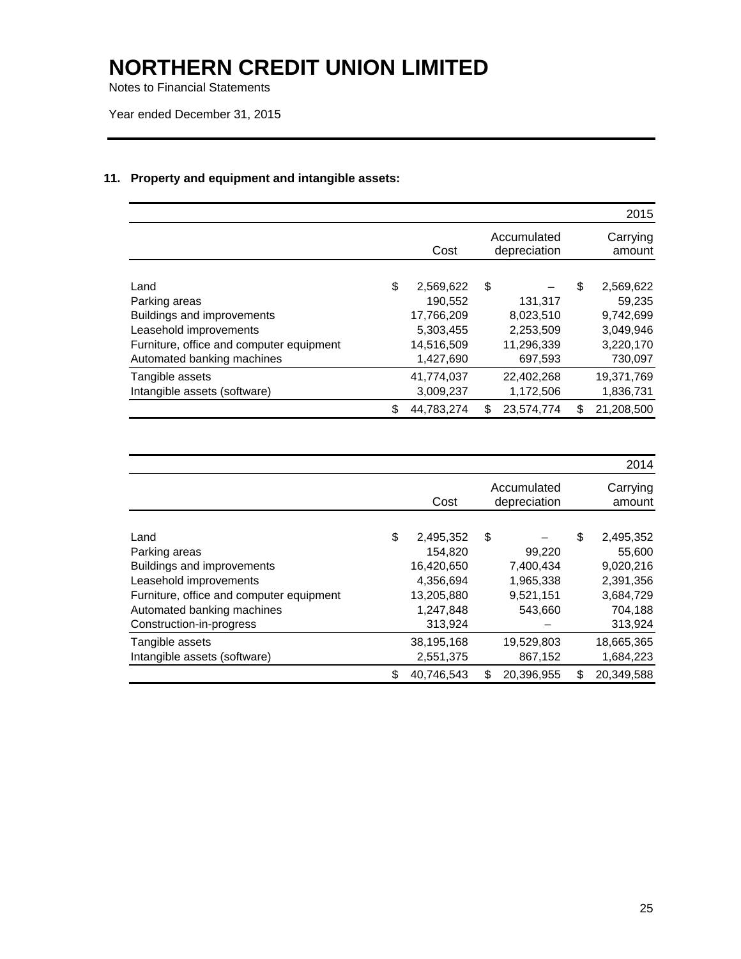Notes to Financial Statements

Year ended December 31, 2015

### **11. Property and equipment and intangible assets:**

|                                          |                  |    |                             | 2015               |
|------------------------------------------|------------------|----|-----------------------------|--------------------|
|                                          | Cost             |    | Accumulated<br>depreciation | Carrying<br>amount |
|                                          |                  |    |                             |                    |
| Land                                     | \$<br>2,569,622  | \$ |                             | \$<br>2,569,622    |
| Parking areas                            | 190,552          |    | 131,317                     | 59.235             |
| Buildings and improvements               | 17,766,209       |    | 8,023,510                   | 9,742,699          |
| Leasehold improvements                   | 5,303,455        |    | 2,253,509                   | 3,049,946          |
| Furniture, office and computer equipment | 14,516,509       |    | 11,296,339                  | 3,220,170          |
| Automated banking machines               | 1,427,690        |    | 697,593                     | 730,097            |
| Tangible assets                          | 41,774,037       |    | 22,402,268                  | 19,371,769         |
| Intangible assets (software)             | 3,009,237        |    | 1,172,506                   | 1,836,731          |
|                                          | \$<br>44,783,274 | S  | 23,574,774                  | \$<br>21,208,500   |

|                                          |                  |   |                             | 2014               |
|------------------------------------------|------------------|---|-----------------------------|--------------------|
|                                          | Cost             |   | Accumulated<br>depreciation | Carrying<br>amount |
| Land                                     | \$<br>2,495,352  | S |                             | \$<br>2,495,352    |
| Parking areas                            | 154.820          |   | 99.220                      | 55,600             |
| Buildings and improvements               | 16,420,650       |   | 7,400,434                   | 9,020,216          |
| Leasehold improvements                   | 4,356,694        |   | 1,965,338                   | 2,391,356          |
| Furniture, office and computer equipment | 13,205,880       |   | 9,521,151                   | 3,684,729          |
| Automated banking machines               | 1,247,848        |   | 543,660                     | 704,188            |
| Construction-in-progress                 | 313,924          |   |                             | 313,924            |
| Tangible assets                          | 38,195,168       |   | 19,529,803                  | 18,665,365         |
| Intangible assets (software)             | 2,551,375        |   | 867,152                     | 1,684,223          |
|                                          | \$<br>40,746,543 | S | 20,396,955                  | \$<br>20,349,588   |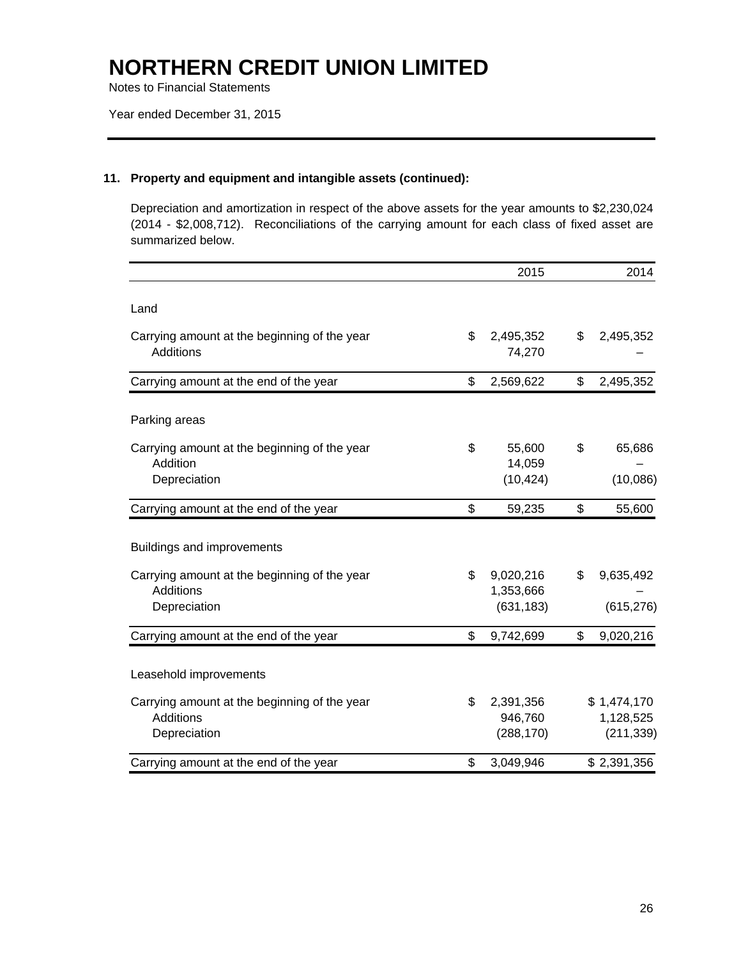Notes to Financial Statements

### **11. Property and equipment and intangible assets (continued):**

Depreciation and amortization in respect of the above assets for the year amounts to \$2,230,024 (2014 - \$2,008,712). Reconciliations of the carrying amount for each class of fixed asset are summarized below.

|                                                                                  | 2015                                       | 2014                                   |
|----------------------------------------------------------------------------------|--------------------------------------------|----------------------------------------|
| Land                                                                             |                                            |                                        |
| Carrying amount at the beginning of the year<br><b>Additions</b>                 | \$<br>2,495,352<br>74,270                  | \$<br>2,495,352                        |
| Carrying amount at the end of the year                                           | \$<br>2,569,622                            | \$<br>2,495,352                        |
| Parking areas                                                                    |                                            |                                        |
| Carrying amount at the beginning of the year<br>Addition<br>Depreciation         | \$<br>55,600<br>14,059<br>(10, 424)        | \$<br>65,686<br>(10,086)               |
| Carrying amount at the end of the year                                           | \$<br>59,235                               | \$<br>55,600                           |
| Buildings and improvements                                                       |                                            |                                        |
| Carrying amount at the beginning of the year<br>Additions<br>Depreciation        | \$<br>9,020,216<br>1,353,666<br>(631, 183) | \$<br>9,635,492<br>(615, 276)          |
| Carrying amount at the end of the year                                           | \$<br>9,742,699                            | \$<br>9,020,216                        |
| Leasehold improvements                                                           |                                            |                                        |
| Carrying amount at the beginning of the year<br><b>Additions</b><br>Depreciation | \$<br>2,391,356<br>946,760<br>(288, 170)   | \$1,474,170<br>1,128,525<br>(211, 339) |
| Carrying amount at the end of the year                                           | \$<br>3,049,946                            | \$2,391,356                            |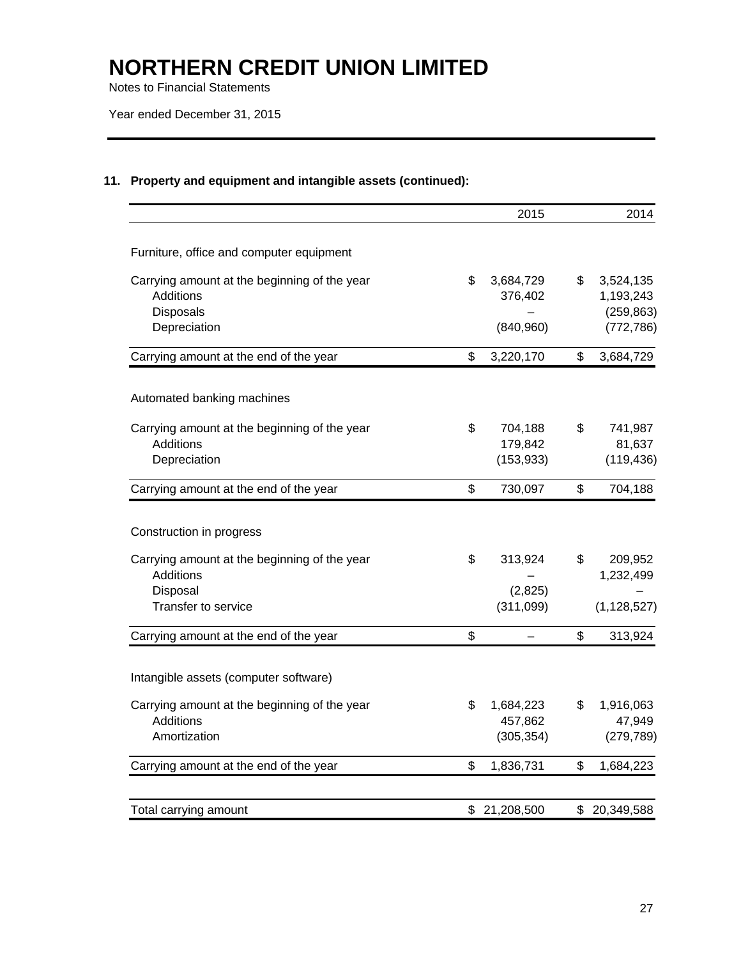Notes to Financial Statements

Year ended December 31, 2015

### **11. Property and equipment and intangible assets (continued):**

| 2015                       |                         | 2014                                 |
|----------------------------|-------------------------|--------------------------------------|
|                            |                         |                                      |
| \$<br>3,684,729<br>376,402 | \$                      | 3,524,135<br>1,193,243<br>(259, 863) |
| (840, 960)                 |                         | (772, 786)                           |
| \$<br>3,220,170            | \$                      | 3,684,729                            |
|                            |                         |                                      |
| \$<br>704,188              | \$                      | 741,987                              |
| (153, 933)                 |                         | 81,637<br>(119, 436)                 |
| \$<br>730,097              | \$                      | 704,188                              |
|                            |                         |                                      |
| \$<br>313,924              | \$                      | 209,952<br>1,232,499                 |
| (2,825)<br>(311,099)       |                         | (1, 128, 527)                        |
| \$                         | \$                      | 313,924                              |
|                            |                         |                                      |
| \$<br>1,684,223<br>457,862 | \$                      | 1,916,063<br>47,949                  |
| (305, 354)                 |                         | (279, 789)                           |
| \$<br>1,836,731            | \$                      | 1,684,223                            |
|                            |                         | \$ 20,349,588                        |
|                            | 179,842<br>\$21,208,500 |                                      |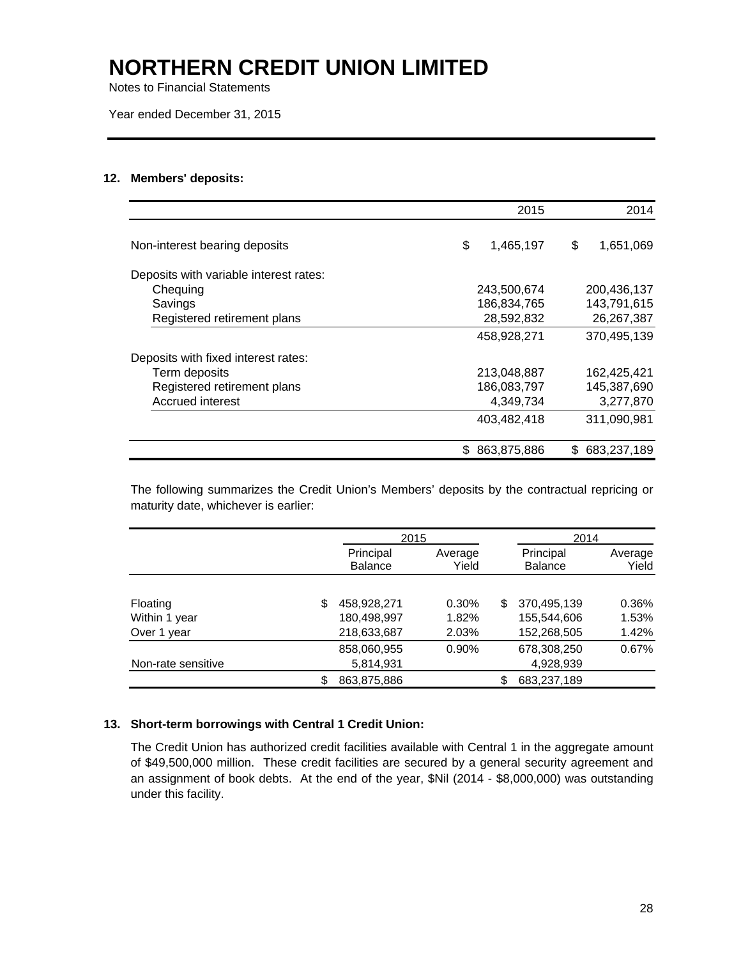Notes to Financial Statements

Year ended December 31, 2015

#### **12. Members' deposits:**

|                                        | 2015            |     | 2014        |
|----------------------------------------|-----------------|-----|-------------|
| Non-interest bearing deposits          | \$<br>1,465,197 | \$  | 1,651,069   |
| Deposits with variable interest rates: |                 |     |             |
| Chequing                               | 243,500,674     |     | 200,436,137 |
| Savings                                | 186,834,765     |     | 143,791,615 |
| Registered retirement plans            | 28,592,832      |     | 26,267,387  |
|                                        | 458,928,271     |     | 370,495,139 |
| Deposits with fixed interest rates:    |                 |     |             |
| Term deposits                          | 213,048,887     |     | 162,425,421 |
| Registered retirement plans            | 186,083,797     |     | 145,387,690 |
| <b>Accrued interest</b>                | 4.349.734       |     | 3,277,870   |
|                                        | 403,482,418     |     | 311,090,981 |
|                                        | 863,875,886     | \$. | 683,237,189 |

The following summarizes the Credit Union's Members' deposits by the contractual repricing or maturity date, whichever is earlier:

|                    |    | 2015                                            |          |     | 2014                        |                  |
|--------------------|----|-------------------------------------------------|----------|-----|-----------------------------|------------------|
|                    |    | Principal<br>Average<br><b>Balance</b><br>Yield |          |     | Principal<br><b>Balance</b> | Average<br>Yield |
|                    |    |                                                 |          |     |                             |                  |
| Floating           | S  | 458,928,271                                     | 0.30%    | \$. | 370,495,139                 | 0.36%            |
| Within 1 year      |    | 180,498,997                                     | 1.82%    |     | 155,544,606                 | 1.53%            |
| Over 1 year        |    | 218,633,687                                     | 2.03%    |     | 152,268,505                 | 1.42%            |
|                    |    | 858,060,955                                     | $0.90\%$ |     | 678,308,250                 | 0.67%            |
| Non-rate sensitive |    | 5,814,931                                       |          |     | 4,928,939                   |                  |
|                    | S. | 863,875,886                                     |          |     | 683,237,189                 |                  |

#### **13. Short-term borrowings with Central 1 Credit Union:**

The Credit Union has authorized credit facilities available with Central 1 in the aggregate amount of \$49,500,000 million. These credit facilities are secured by a general security agreement and an assignment of book debts. At the end of the year, \$Nil (2014 - \$8,000,000) was outstanding under this facility.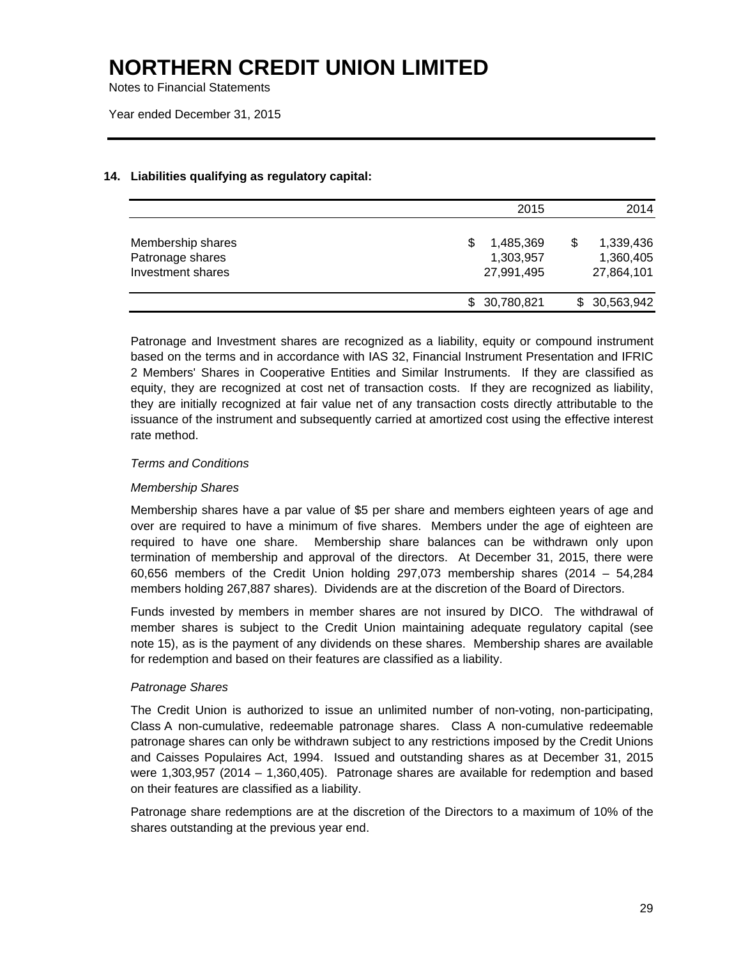Notes to Financial Statements

Year ended December 31, 2015

### **14. Liabilities qualifying as regulatory capital:**

|                                                            | 2015                                      | 2014                                      |
|------------------------------------------------------------|-------------------------------------------|-------------------------------------------|
| Membership shares<br>Patronage shares<br>Investment shares | 1,485,369<br>S<br>1,303,957<br>27,991,495 | 1,339,436<br>S<br>1,360,405<br>27,864,101 |
|                                                            | \$ 30,780,821                             | \$30,563,942                              |

Patronage and Investment shares are recognized as a liability, equity or compound instrument based on the terms and in accordance with IAS 32, Financial Instrument Presentation and IFRIC 2 Members' Shares in Cooperative Entities and Similar Instruments. If they are classified as equity, they are recognized at cost net of transaction costs. If they are recognized as liability, they are initially recognized at fair value net of any transaction costs directly attributable to the issuance of the instrument and subsequently carried at amortized cost using the effective interest rate method.

### *Terms and Conditions*

### *Membership Shares*

Membership shares have a par value of \$5 per share and members eighteen years of age and over are required to have a minimum of five shares. Members under the age of eighteen are required to have one share. Membership share balances can be withdrawn only upon termination of membership and approval of the directors. At December 31, 2015, there were 60,656 members of the Credit Union holding 297,073 membership shares (2014 – 54,284 members holding 267,887 shares). Dividends are at the discretion of the Board of Directors.

Funds invested by members in member shares are not insured by DICO. The withdrawal of member shares is subject to the Credit Union maintaining adequate regulatory capital (see note 15), as is the payment of any dividends on these shares. Membership shares are available for redemption and based on their features are classified as a liability.

#### *Patronage Shares*

The Credit Union is authorized to issue an unlimited number of non-voting, non-participating, Class A non-cumulative, redeemable patronage shares. Class A non-cumulative redeemable patronage shares can only be withdrawn subject to any restrictions imposed by the Credit Unions and Caisses Populaires Act, 1994. Issued and outstanding shares as at December 31, 2015 were 1,303,957 (2014 – 1,360,405). Patronage shares are available for redemption and based on their features are classified as a liability.

Patronage share redemptions are at the discretion of the Directors to a maximum of 10% of the shares outstanding at the previous year end.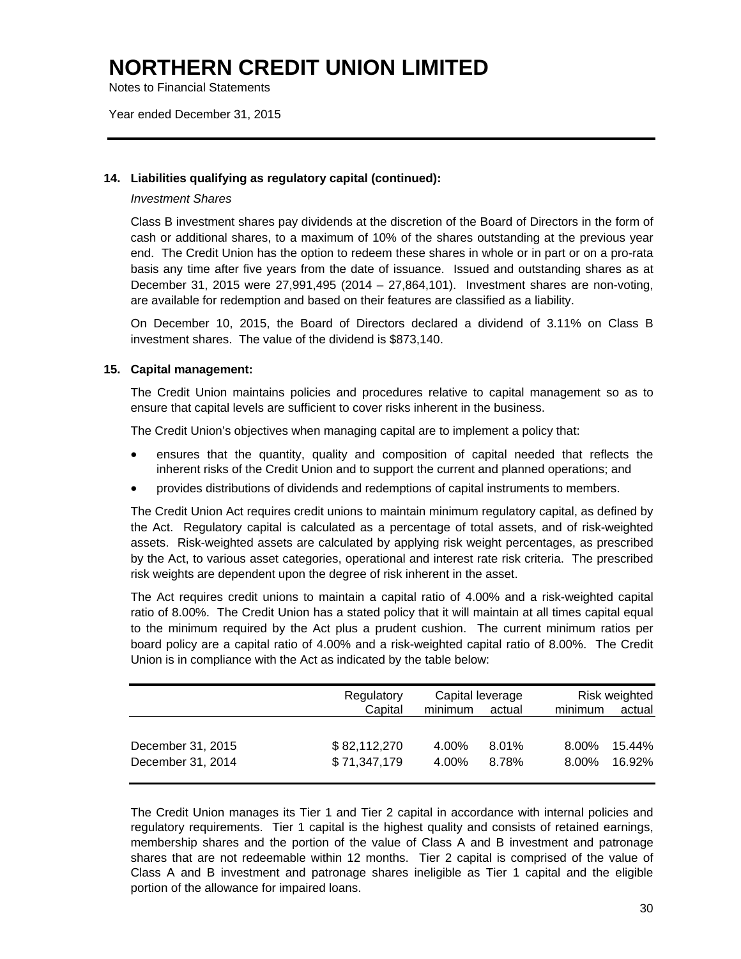Notes to Financial Statements

Year ended December 31, 2015

### **14. Liabilities qualifying as regulatory capital (continued):**

#### *Investment Shares*

Class B investment shares pay dividends at the discretion of the Board of Directors in the form of cash or additional shares, to a maximum of 10% of the shares outstanding at the previous year end. The Credit Union has the option to redeem these shares in whole or in part or on a pro-rata basis any time after five years from the date of issuance. Issued and outstanding shares as at December 31, 2015 were 27,991,495 (2014 – 27,864,101). Investment shares are non-voting, are available for redemption and based on their features are classified as a liability.

On December 10, 2015, the Board of Directors declared a dividend of 3.11% on Class B investment shares. The value of the dividend is \$873,140.

### **15. Capital management:**

The Credit Union maintains policies and procedures relative to capital management so as to ensure that capital levels are sufficient to cover risks inherent in the business.

The Credit Union's objectives when managing capital are to implement a policy that:

- ensures that the quantity, quality and composition of capital needed that reflects the inherent risks of the Credit Union and to support the current and planned operations; and
- provides distributions of dividends and redemptions of capital instruments to members.

The Credit Union Act requires credit unions to maintain minimum regulatory capital, as defined by the Act. Regulatory capital is calculated as a percentage of total assets, and of risk-weighted assets. Risk-weighted assets are calculated by applying risk weight percentages, as prescribed by the Act, to various asset categories, operational and interest rate risk criteria. The prescribed risk weights are dependent upon the degree of risk inherent in the asset.

The Act requires credit unions to maintain a capital ratio of 4.00% and a risk-weighted capital ratio of 8.00%. The Credit Union has a stated policy that it will maintain at all times capital equal to the minimum required by the Act plus a prudent cushion. The current minimum ratios per board policy are a capital ratio of 4.00% and a risk-weighted capital ratio of 8.00%. The Credit Union is in compliance with the Act as indicated by the table below:

|                   | Regulatory<br>Capital | Capital leverage<br>minimum<br>actual |       | minimum  | Risk weighted<br>actual |
|-------------------|-----------------------|---------------------------------------|-------|----------|-------------------------|
| December 31, 2015 | \$82,112,270          | 4.00%                                 | 8.01% | 8.00%    | 15.44%                  |
| December 31, 2014 | \$71,347,179          | 4.00%                                 | 8.78% | $8.00\%$ | 16.92%                  |

The Credit Union manages its Tier 1 and Tier 2 capital in accordance with internal policies and regulatory requirements. Tier 1 capital is the highest quality and consists of retained earnings, membership shares and the portion of the value of Class A and B investment and patronage shares that are not redeemable within 12 months. Tier 2 capital is comprised of the value of Class A and B investment and patronage shares ineligible as Tier 1 capital and the eligible portion of the allowance for impaired loans.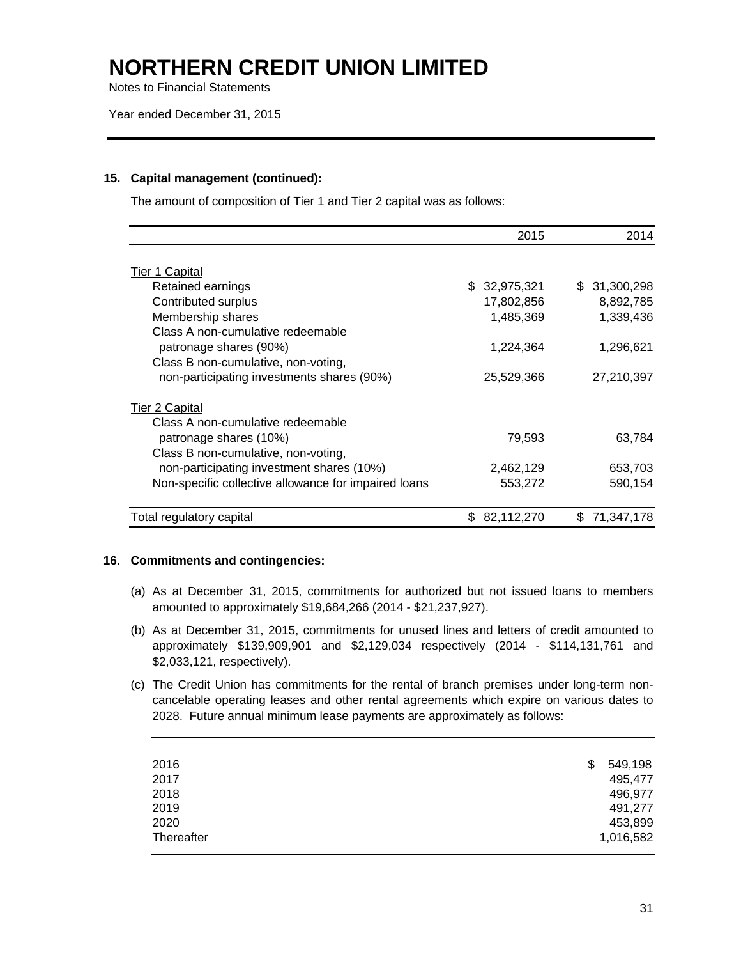Notes to Financial Statements

#### **15. Capital management (continued):**

The amount of composition of Tier 1 and Tier 2 capital was as follows:

|                                                      |     | 2015          | 2014          |
|------------------------------------------------------|-----|---------------|---------------|
| <b>Tier 1 Capital</b>                                |     |               |               |
| Retained earnings                                    |     | \$ 32,975,321 | \$ 31,300,298 |
| Contributed surplus                                  |     | 17,802,856    | 8,892,785     |
| Membership shares                                    |     | 1,485,369     | 1,339,436     |
| Class A non-cumulative redeemable                    |     |               |               |
| patronage shares (90%)                               |     | 1,224,364     | 1,296,621     |
| Class B non-cumulative, non-voting,                  |     |               |               |
| non-participating investments shares (90%)           |     | 25,529,366    | 27,210,397    |
| Tier 2 Capital                                       |     |               |               |
| Class A non-cumulative redeemable                    |     |               |               |
| patronage shares (10%)                               |     | 79,593        | 63,784        |
| Class B non-cumulative, non-voting,                  |     |               |               |
| non-participating investment shares (10%)            |     | 2,462,129     | 653,703       |
| Non-specific collective allowance for impaired loans |     | 553,272       | 590,154       |
| Total regulatory capital                             | \$. | 82,112,270    | \$71,347,178  |

#### **16. Commitments and contingencies:**

- (a) As at December 31, 2015, commitments for authorized but not issued loans to members amounted to approximately \$19,684,266 (2014 - \$21,237,927).
- (b) As at December 31, 2015, commitments for unused lines and letters of credit amounted to approximately \$139,909,901 and \$2,129,034 respectively (2014 - \$114,131,761 and \$2,033,121, respectively).
- (c) The Credit Union has commitments for the rental of branch premises under long-term noncancelable operating leases and other rental agreements which expire on various dates to 2028. Future annual minimum lease payments are approximately as follows:

| 2016       | S | 549,198   |
|------------|---|-----------|
| 2017       |   | 495,477   |
| 2018       |   | 496,977   |
| 2019       |   | 491,277   |
| 2020       |   | 453,899   |
| Thereafter |   | 1,016,582 |
|            |   |           |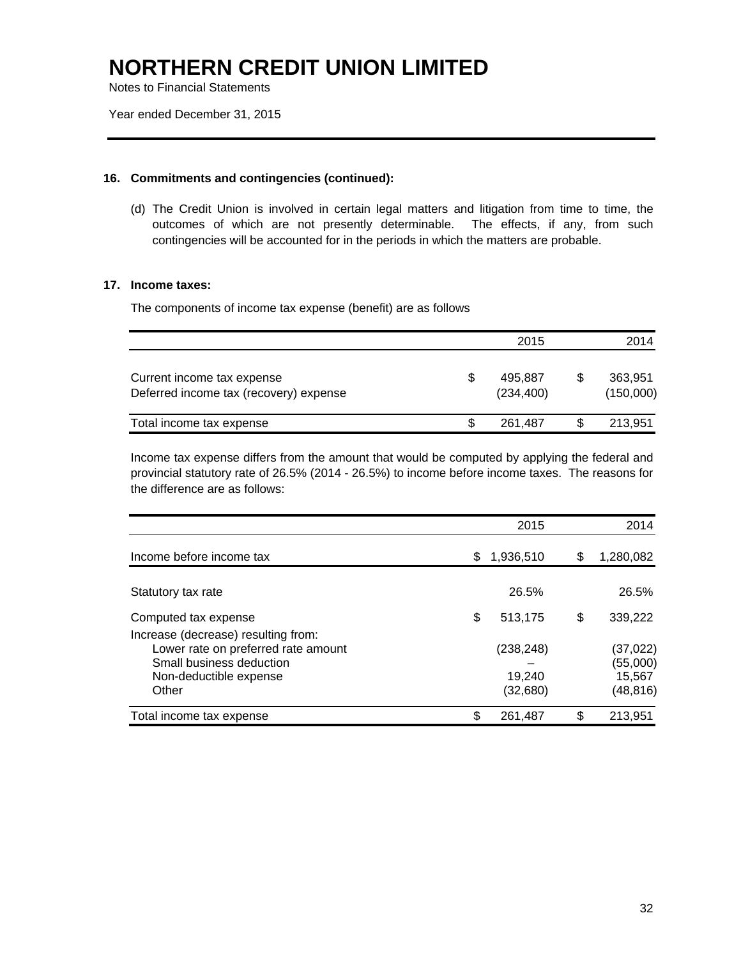Notes to Financial Statements

Year ended December 31, 2015

### **16. Commitments and contingencies (continued):**

(d) The Credit Union is involved in certain legal matters and litigation from time to time, the outcomes of which are not presently determinable. The effects, if any, from such contingencies will be accounted for in the periods in which the matters are probable.

### **17. Income taxes:**

The components of income tax expense (benefit) are as follows

|                                                                      |    | 2015                  |   | 2014                 |
|----------------------------------------------------------------------|----|-----------------------|---|----------------------|
| Current income tax expense<br>Deferred income tax (recovery) expense | \$ | 495.887<br>(234, 400) | S | 363,951<br>(150,000) |
| Total income tax expense                                             | S  | 261.487               |   | 213,951              |

Income tax expense differs from the amount that would be computed by applying the federal and provincial statutory rate of 26.5% (2014 - 26.5%) to income before income taxes. The reasons for the difference are as follows:

|                                                                                                                                           |     | 2015                             | 2014                                        |
|-------------------------------------------------------------------------------------------------------------------------------------------|-----|----------------------------------|---------------------------------------------|
| Income before income tax                                                                                                                  | S.  | 1,936,510                        | \$<br>1,280,082                             |
| Statutory tax rate                                                                                                                        |     | 26.5%                            | 26.5%                                       |
| Computed tax expense                                                                                                                      | \$  | 513,175                          | \$<br>339,222                               |
| Increase (decrease) resulting from:<br>Lower rate on preferred rate amount<br>Small business deduction<br>Non-deductible expense<br>Other |     | (238, 248)<br>19.240<br>(32,680) | (37,022)<br>(55,000)<br>15,567<br>(48, 816) |
| Total income tax expense                                                                                                                  | \$. | 261,487                          | \$<br>213,951                               |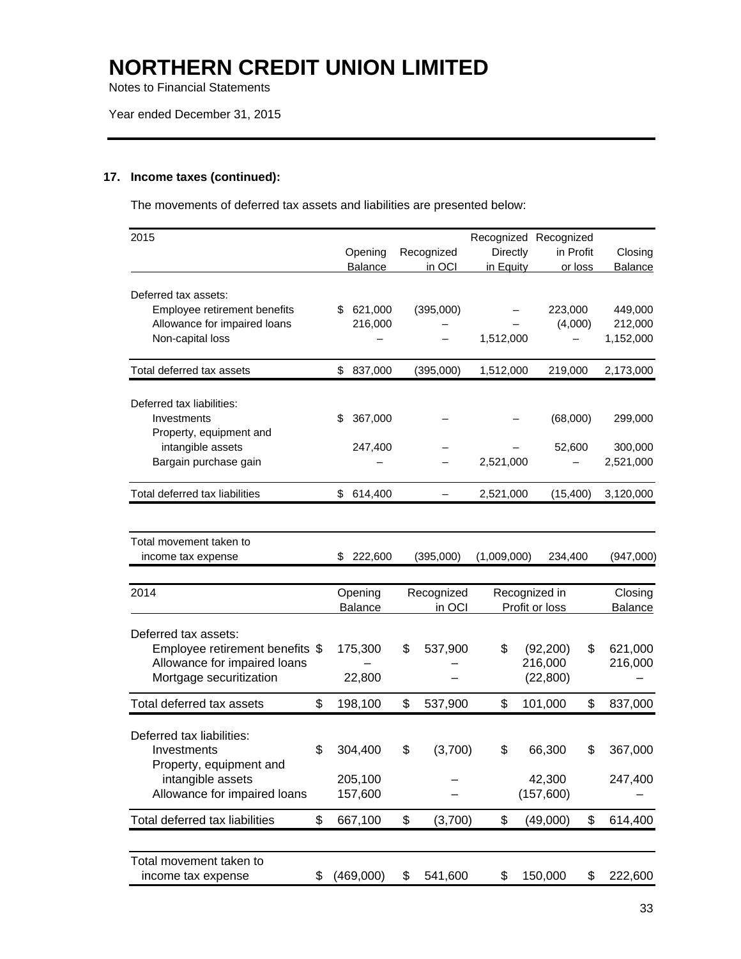Notes to Financial Statements

### **17. Income taxes (continued):**

The movements of deferred tax assets and liabilities are presented below:

| 2015                                                                                                               |    | Opening<br><b>Balance</b> | Recognized<br>in OCI | Recognized Recognized<br>Directly<br>in Equity | in Profit<br>or loss              | Closing<br><b>Balance</b> |
|--------------------------------------------------------------------------------------------------------------------|----|---------------------------|----------------------|------------------------------------------------|-----------------------------------|---------------------------|
| Deferred tax assets:<br>Employee retirement benefits                                                               | \$ | 621,000                   | (395,000)            |                                                | 223,000                           | 449,000                   |
| Allowance for impaired loans<br>Non-capital loss                                                                   |    | 216,000                   |                      | 1,512,000                                      | (4,000)                           | 212,000<br>1,152,000      |
| Total deferred tax assets                                                                                          | \$ | 837,000                   | (395,000)            | 1,512,000                                      | 219,000                           | 2,173,000                 |
| Deferred tax liabilities:<br>Investments<br>Property, equipment and                                                | \$ | 367,000                   |                      |                                                | (68,000)                          | 299,000                   |
| intangible assets<br>Bargain purchase gain                                                                         |    | 247,400                   |                      | 2,521,000                                      | 52,600                            | 300,000<br>2,521,000      |
| Total deferred tax liabilities                                                                                     | \$ | 614,400                   |                      | 2,521,000                                      | (15, 400)                         | 3,120,000                 |
|                                                                                                                    |    |                           |                      |                                                |                                   |                           |
| Total movement taken to<br>income tax expense                                                                      | S  | 222,600                   | (395,000)            | (1,009,000)                                    | 234,400                           | (947,000)                 |
|                                                                                                                    |    |                           |                      |                                                |                                   |                           |
| 2014                                                                                                               |    | Opening<br><b>Balance</b> | Recognized<br>in OCI |                                                | Recognized in<br>Profit or loss   | Closing<br>Balance        |
| Deferred tax assets:<br>Employee retirement benefits \$<br>Allowance for impaired loans<br>Mortgage securitization |    | 175,300<br>22,800         | \$<br>537,900        | \$                                             | (92, 200)<br>216,000<br>(22, 800) | \$<br>621,000<br>216,000  |
| Total deferred tax assets                                                                                          | \$ | 198,100                   | \$<br>537,900        | \$                                             | 101,000                           | \$<br>837,000             |
| Deferred tax liabilities:<br>Investments                                                                           | \$ | 304,400                   | \$<br>(3,700)        | \$                                             | 66,300                            | \$<br>367,000             |
| Property, equipment and<br>intangible assets<br>Allowance for impaired loans                                       |    | 205,100<br>157,600        |                      |                                                | 42,300<br>(157,600)               | 247,400                   |
| Total deferred tax liabilities                                                                                     | \$ | 667,100                   | \$<br>(3,700)        | \$                                             | (49,000)                          | \$<br>614,400             |
| Total movement taken to<br>income tax expense                                                                      | \$ | (469,000)                 | \$<br>541,600        | \$                                             | 150,000                           | \$<br>222,600             |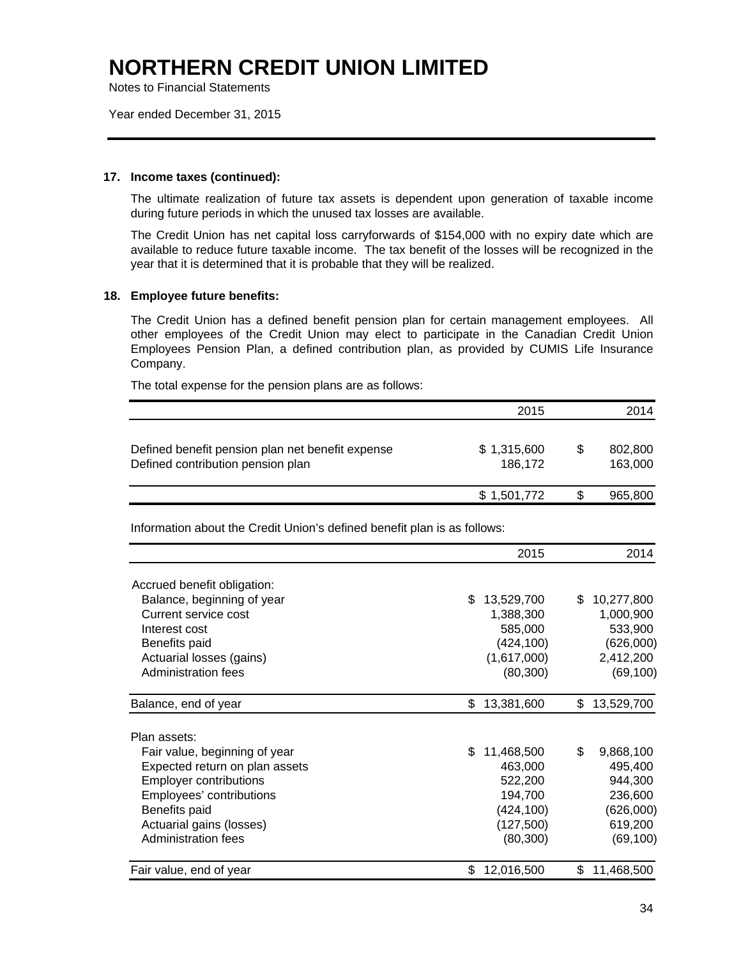Notes to Financial Statements

Year ended December 31, 2015

#### **17. Income taxes (continued):**

The ultimate realization of future tax assets is dependent upon generation of taxable income during future periods in which the unused tax losses are available.

The Credit Union has net capital loss carryforwards of \$154,000 with no expiry date which are available to reduce future taxable income. The tax benefit of the losses will be recognized in the year that it is determined that it is probable that they will be realized.

#### **18. Employee future benefits:**

The Credit Union has a defined benefit pension plan for certain management employees. All other employees of the Credit Union may elect to participate in the Canadian Credit Union Employees Pension Plan, a defined contribution plan, as provided by CUMIS Life Insurance Company.

The total expense for the pension plans are as follows:

|                                                                                       | 2015                   | 2014                     |
|---------------------------------------------------------------------------------------|------------------------|--------------------------|
| Defined benefit pension plan net benefit expense<br>Defined contribution pension plan | \$1,315,600<br>186.172 | \$<br>802,800<br>163,000 |
|                                                                                       | \$1,501,772            | 965,800                  |

Information about the Credit Union's defined benefit plan is as follows:

|                                |    | 2015        |     | 2014       |
|--------------------------------|----|-------------|-----|------------|
| Accrued benefit obligation:    |    |             |     |            |
| Balance, beginning of year     | \$ | 13,529,700  | \$  | 10,277,800 |
| Current service cost           |    | 1,388,300   |     | 1,000,900  |
| Interest cost                  |    | 585,000     |     | 533,900    |
|                                |    |             |     |            |
| Benefits paid                  |    | (424, 100)  |     | (626,000)  |
| Actuarial losses (gains)       |    | (1,617,000) |     | 2,412,200  |
| Administration fees            |    | (80, 300)   |     | (69, 100)  |
| Balance, end of year           | S  | 13,381,600  | \$  | 13,529,700 |
|                                |    |             |     |            |
| Plan assets:                   |    |             |     |            |
| Fair value, beginning of year  | \$ | 11,468,500  | \$  | 9,868,100  |
| Expected return on plan assets |    | 463,000     |     | 495,400    |
| <b>Employer contributions</b>  |    | 522,200     |     | 944,300    |
| Employees' contributions       |    | 194,700     |     | 236,600    |
| Benefits paid                  |    | (424, 100)  |     | (626,000)  |
| Actuarial gains (losses)       |    | (127,500)   |     | 619,200    |
| <b>Administration fees</b>     |    | (80, 300)   |     | (69, 100)  |
| Fair value, end of year        | S  | 12,016,500  | \$. | 11,468,500 |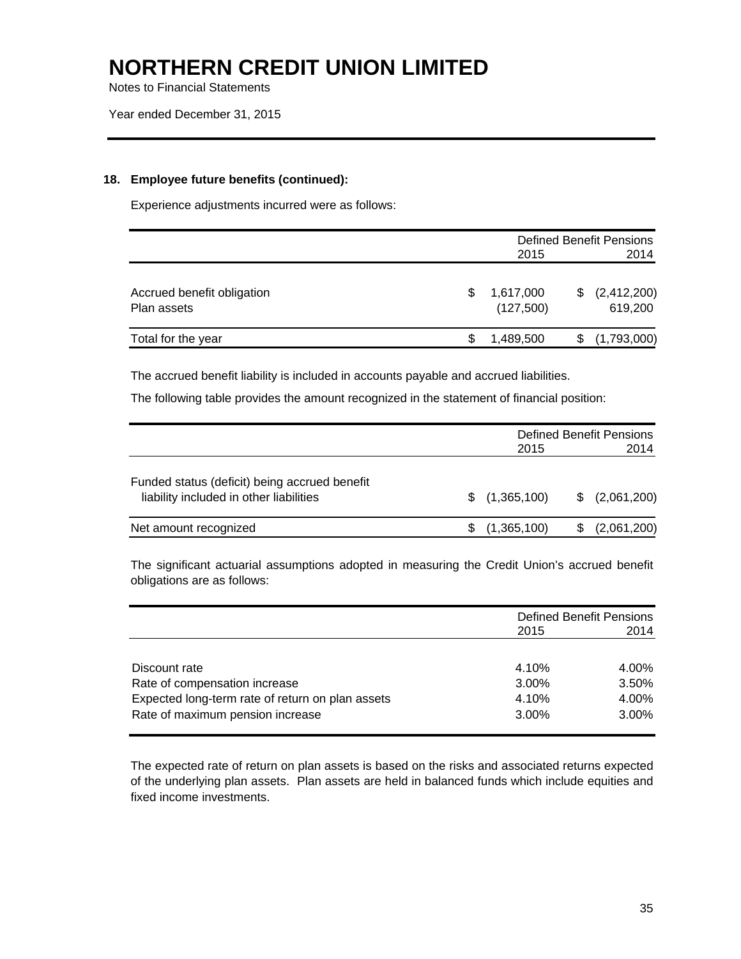Notes to Financial Statements

Year ended December 31, 2015

### **18. Employee future benefits (continued):**

Experience adjustments incurred were as follows:

|                                           | 2015                   | <b>Defined Benefit Pensions</b><br>2014 |  |
|-------------------------------------------|------------------------|-----------------------------------------|--|
| Accrued benefit obligation<br>Plan assets | 1,617,000<br>(127,500) | \$<br>(2,412,200)<br>619,200            |  |
| Total for the year                        | 1,489,500              | (1,793,000)                             |  |

The accrued benefit liability is included in accounts payable and accrued liabilities.

The following table provides the amount recognized in the statement of financial position:

|                                                                                          |     | Defined Benefit Pensions<br>2014 |  |               |
|------------------------------------------------------------------------------------------|-----|----------------------------------|--|---------------|
| Funded status (deficit) being accrued benefit<br>liability included in other liabilities | SS. | (1,365,100)                      |  | \$(2,061,200) |
| Net amount recognized                                                                    |     | (1,365,100)                      |  | (2,061,200)   |

The significant actuarial assumptions adopted in measuring the Credit Union's accrued benefit obligations are as follows:

|                                                  |          | <b>Defined Benefit Pensions</b> |  |
|--------------------------------------------------|----------|---------------------------------|--|
|                                                  | 2015     |                                 |  |
|                                                  |          |                                 |  |
| Discount rate                                    | 4.10%    | 4.00%                           |  |
| Rate of compensation increase                    | $3.00\%$ | 3.50%                           |  |
| Expected long-term rate of return on plan assets | 4.10%    | 4.00%                           |  |
| Rate of maximum pension increase                 | $3.00\%$ | 3.00%                           |  |

The expected rate of return on plan assets is based on the risks and associated returns expected of the underlying plan assets. Plan assets are held in balanced funds which include equities and fixed income investments.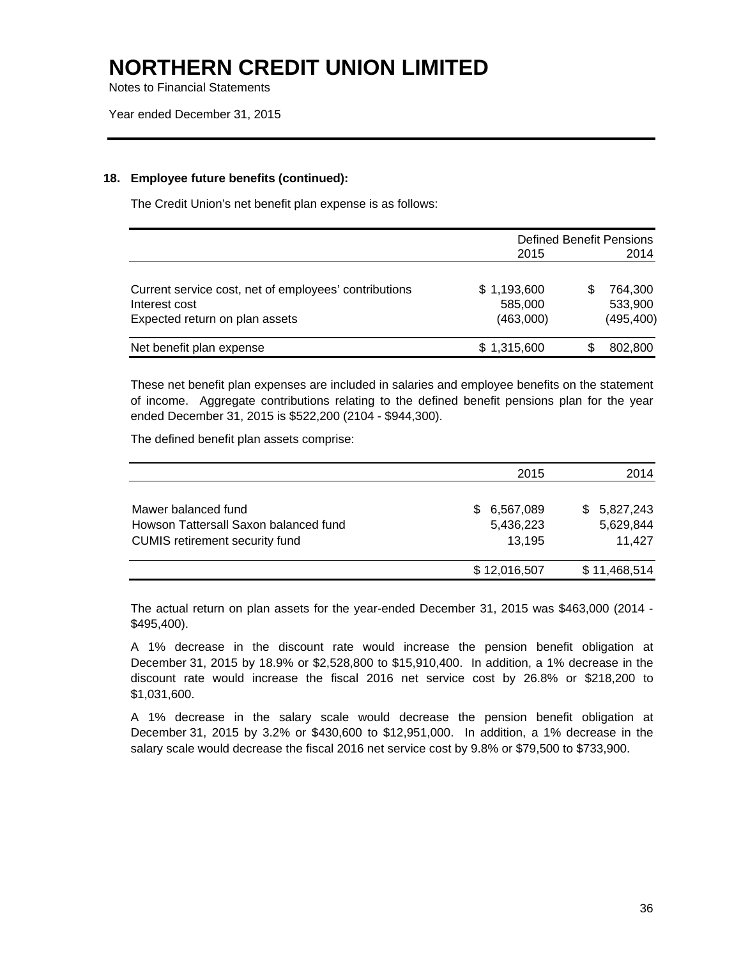Notes to Financial Statements

#### **18. Employee future benefits (continued):**

The Credit Union's net benefit plan expense is as follows:

|                                                                                                          | 2015                                | <b>Defined Benefit Pensions</b><br>2014 |
|----------------------------------------------------------------------------------------------------------|-------------------------------------|-----------------------------------------|
| Current service cost, net of employees' contributions<br>Interest cost<br>Expected return on plan assets | \$1,193,600<br>585,000<br>(463,000) | 764,300<br>533,900<br>(495, 400)        |
| Net benefit plan expense                                                                                 | \$1,315,600                         | 802,800                                 |

These net benefit plan expenses are included in salaries and employee benefits on the statement of income. Aggregate contributions relating to the defined benefit pensions plan for the year ended December 31, 2015 is \$522,200 (2104 - \$944,300).

The defined benefit plan assets comprise:

|                                       | 2015             | 2014         |
|---------------------------------------|------------------|--------------|
| Mawer balanced fund                   | 6,567,089<br>SS. | \$5,827,243  |
| Howson Tattersall Saxon balanced fund | 5,436,223        | 5,629,844    |
| <b>CUMIS</b> retirement security fund | 13,195           | 11,427       |
|                                       | \$12,016,507     | \$11,468,514 |

The actual return on plan assets for the year-ended December 31, 2015 was \$463,000 (2014 - \$495,400).

A 1% decrease in the discount rate would increase the pension benefit obligation at December 31, 2015 by 18.9% or \$2,528,800 to \$15,910,400. In addition, a 1% decrease in the discount rate would increase the fiscal 2016 net service cost by 26.8% or \$218,200 to \$1,031,600.

A 1% decrease in the salary scale would decrease the pension benefit obligation at December 31, 2015 by 3.2% or \$430,600 to \$12,951,000. In addition, a 1% decrease in the salary scale would decrease the fiscal 2016 net service cost by 9.8% or \$79,500 to \$733,900.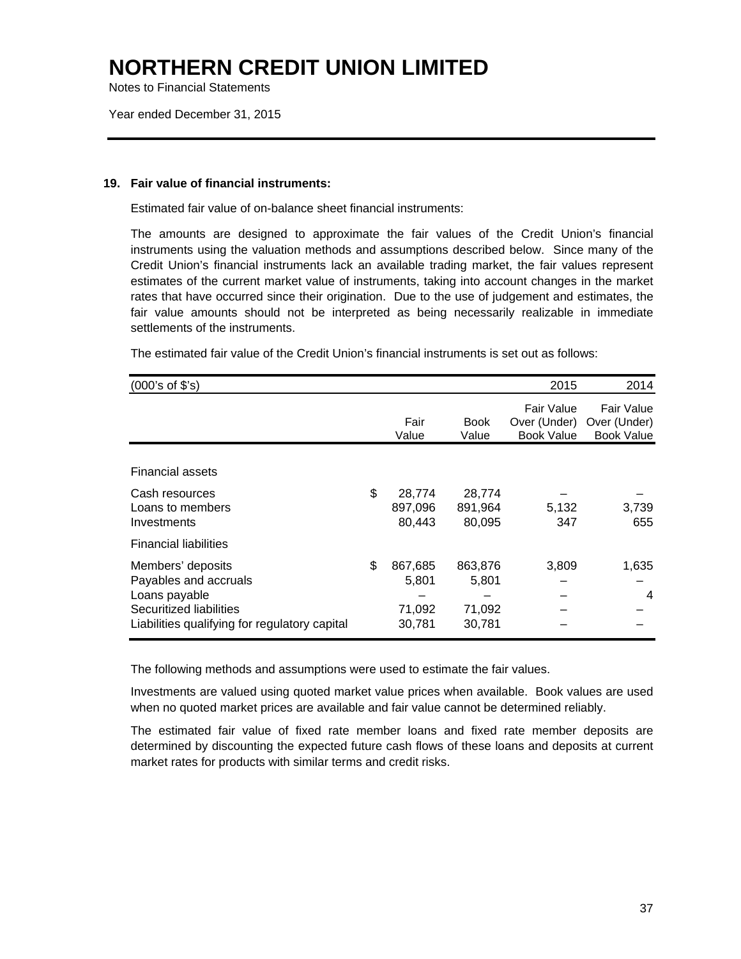Notes to Financial Statements

Year ended December 31, 2015

#### **19. Fair value of financial instruments:**

Estimated fair value of on-balance sheet financial instruments:

The amounts are designed to approximate the fair values of the Credit Union's financial instruments using the valuation methods and assumptions described below. Since many of the Credit Union's financial instruments lack an available trading market, the fair values represent estimates of the current market value of instruments, taking into account changes in the market rates that have occurred since their origination. Due to the use of judgement and estimates, the fair value amounts should not be interpreted as being necessarily realizable in immediate settlements of the instruments.

| (000's of \$'s)                                                                                                                         |                                            |                                      | 2015                                            | 2014                                            |
|-----------------------------------------------------------------------------------------------------------------------------------------|--------------------------------------------|--------------------------------------|-------------------------------------------------|-------------------------------------------------|
|                                                                                                                                         | Fair<br>Value                              | <b>Book</b><br>Value                 | Fair Value<br>Over (Under)<br><b>Book Value</b> | Fair Value<br>Over (Under)<br><b>Book Value</b> |
| <b>Financial assets</b>                                                                                                                 |                                            |                                      |                                                 |                                                 |
| Cash resources<br>Loans to members<br>Investments                                                                                       | \$<br>28,774<br>897,096<br>80,443          | 28,774<br>891,964<br>80,095          | 5,132<br>347                                    | 3,739<br>655                                    |
| <b>Financial liabilities</b>                                                                                                            |                                            |                                      |                                                 |                                                 |
| Members' deposits<br>Payables and accruals<br>Loans payable<br>Securitized liabilities<br>Liabilities qualifying for regulatory capital | \$<br>867,685<br>5,801<br>71,092<br>30,781 | 863,876<br>5,801<br>71,092<br>30,781 | 3,809                                           | 1,635<br>4                                      |

The estimated fair value of the Credit Union's financial instruments is set out as follows:

The following methods and assumptions were used to estimate the fair values.

Investments are valued using quoted market value prices when available. Book values are used when no quoted market prices are available and fair value cannot be determined reliably.

The estimated fair value of fixed rate member loans and fixed rate member deposits are determined by discounting the expected future cash flows of these loans and deposits at current market rates for products with similar terms and credit risks.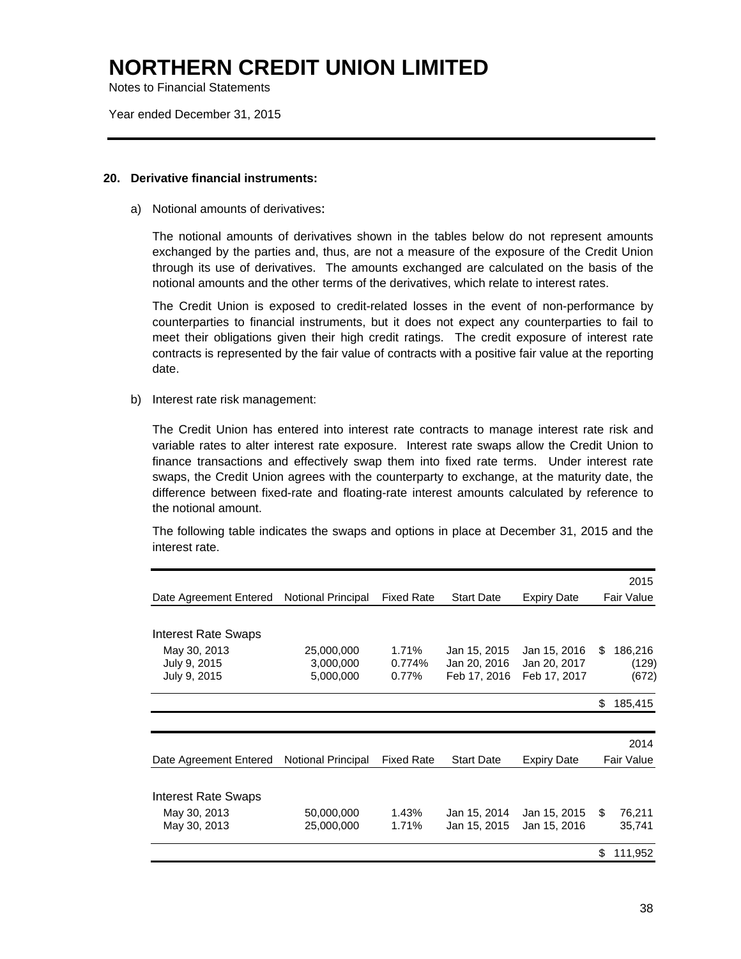Notes to Financial Statements

Year ended December 31, 2015

#### **20. Derivative financial instruments:**

a) Notional amounts of derivatives:

The notional amounts of derivatives shown in the tables below do not represent amounts exchanged by the parties and, thus, are not a measure of the exposure of the Credit Union through its use of derivatives. The amounts exchanged are calculated on the basis of the notional amounts and the other terms of the derivatives, which relate to interest rates.

The Credit Union is exposed to credit-related losses in the event of non-performance by counterparties to financial instruments, but it does not expect any counterparties to fail to meet their obligations given their high credit ratings. The credit exposure of interest rate contracts is represented by the fair value of contracts with a positive fair value at the reporting date.

b) Interest rate risk management:

The Credit Union has entered into interest rate contracts to manage interest rate risk and variable rates to alter interest rate exposure. Interest rate swaps allow the Credit Union to finance transactions and effectively swap them into fixed rate terms. Under interest rate swaps, the Credit Union agrees with the counterparty to exchange, at the maturity date, the difference between fixed-rate and floating-rate interest amounts calculated by reference to the notional amount.

The following table indicates the swaps and options in place at December 31, 2015 and the interest rate.

|                                              |                                      |                             |                                              |                                              | 2015                            |
|----------------------------------------------|--------------------------------------|-----------------------------|----------------------------------------------|----------------------------------------------|---------------------------------|
| Date Agreement Entered                       | Notional Principal                   | <b>Fixed Rate</b>           | <b>Start Date</b>                            | <b>Expiry Date</b>                           | <b>Fair Value</b>               |
|                                              |                                      |                             |                                              |                                              |                                 |
| Interest Rate Swaps                          |                                      |                             |                                              |                                              |                                 |
| May 30, 2013<br>July 9, 2015<br>July 9, 2015 | 25,000,000<br>3,000,000<br>5,000,000 | 1.71%<br>0.774%<br>$0.77\%$ | Jan 15, 2015<br>Jan 20, 2016<br>Feb 17, 2016 | Jan 15, 2016<br>Jan 20, 2017<br>Feb 17, 2017 | \$<br>186,216<br>(129)<br>(672) |
|                                              |                                      |                             |                                              |                                              | \$<br>185,415                   |
|                                              |                                      |                             |                                              |                                              |                                 |
|                                              |                                      |                             |                                              |                                              | 2014                            |
| Date Agreement Entered                       | Notional Principal                   | <b>Fixed Rate</b>           | <b>Start Date</b>                            | <b>Expiry Date</b>                           | Fair Value                      |
|                                              |                                      |                             |                                              |                                              |                                 |
| <b>Interest Rate Swaps</b>                   |                                      |                             |                                              |                                              |                                 |
| May 30, 2013                                 | 50,000,000                           | 1.43%                       | Jan 15, 2014                                 | Jan 15, 2015                                 | \$<br>76,211                    |
| May 30, 2013                                 | 25,000,000                           | 1.71%                       | Jan 15, 2015                                 | Jan 15, 2016                                 | 35,741                          |
|                                              |                                      |                             |                                              |                                              | \$<br>111,952                   |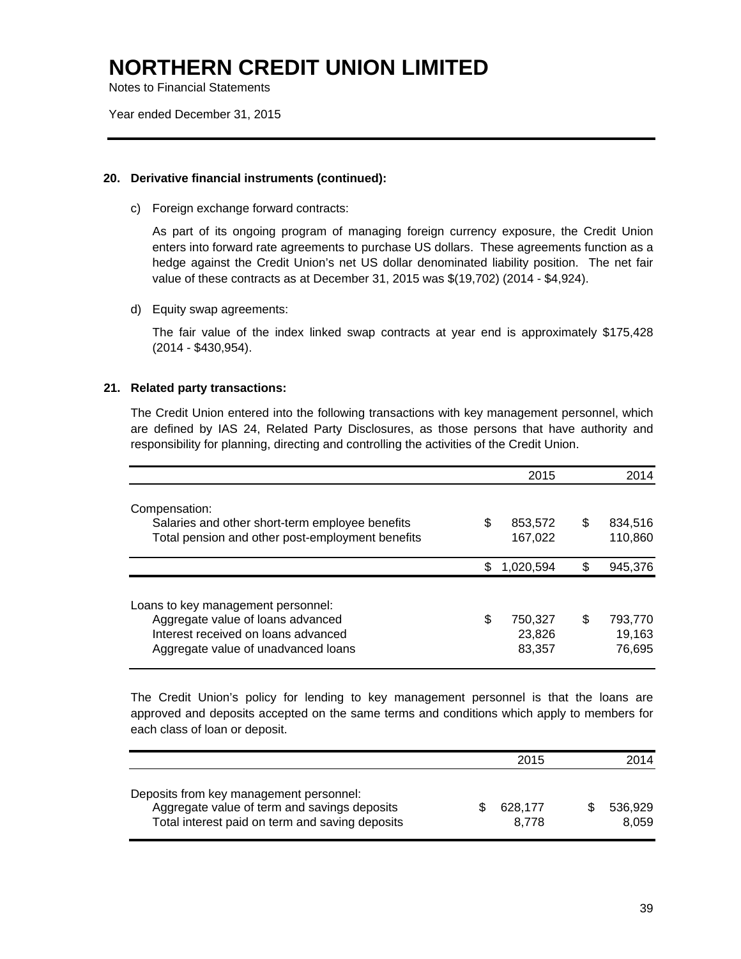Notes to Financial Statements

Year ended December 31, 2015

### **20. Derivative financial instruments (continued):**

c) Foreign exchange forward contracts:

 As part of its ongoing program of managing foreign currency exposure, the Credit Union enters into forward rate agreements to purchase US dollars. These agreements function as a hedge against the Credit Union's net US dollar denominated liability position. The net fair value of these contracts as at December 31, 2015 was \$(19,702) (2014 - \$4,924).

d) Equity swap agreements:

 The fair value of the index linked swap contracts at year end is approximately \$175,428 (2014 - \$430,954).

### **21. Related party transactions:**

The Credit Union entered into the following transactions with key management personnel, which are defined by IAS 24, Related Party Disclosures, as those persons that have authority and responsibility for planning, directing and controlling the activities of the Credit Union.

|                                                                                                                                                       |    | 2015                        | 2014                              |
|-------------------------------------------------------------------------------------------------------------------------------------------------------|----|-----------------------------|-----------------------------------|
| Compensation:<br>Salaries and other short-term employee benefits<br>Total pension and other post-employment benefits                                  | \$ | 853,572<br>167,022          | \$<br>834,516<br>110,860          |
|                                                                                                                                                       | S  | 1,020,594                   | \$<br>945.376                     |
| Loans to key management personnel:<br>Aggregate value of loans advanced<br>Interest received on loans advanced<br>Aggregate value of unadvanced loans | \$ | 750,327<br>23,826<br>83,357 | \$<br>793,770<br>19,163<br>76,695 |

The Credit Union's policy for lending to key management personnel is that the loans are approved and deposits accepted on the same terms and conditions which apply to members for each class of loan or deposit.

|                                                                                                                                            | 2015             | 2014             |
|--------------------------------------------------------------------------------------------------------------------------------------------|------------------|------------------|
| Deposits from key management personnel:<br>Aggregate value of term and savings deposits<br>Total interest paid on term and saving deposits | 628,177<br>8.778 | 536.929<br>8.059 |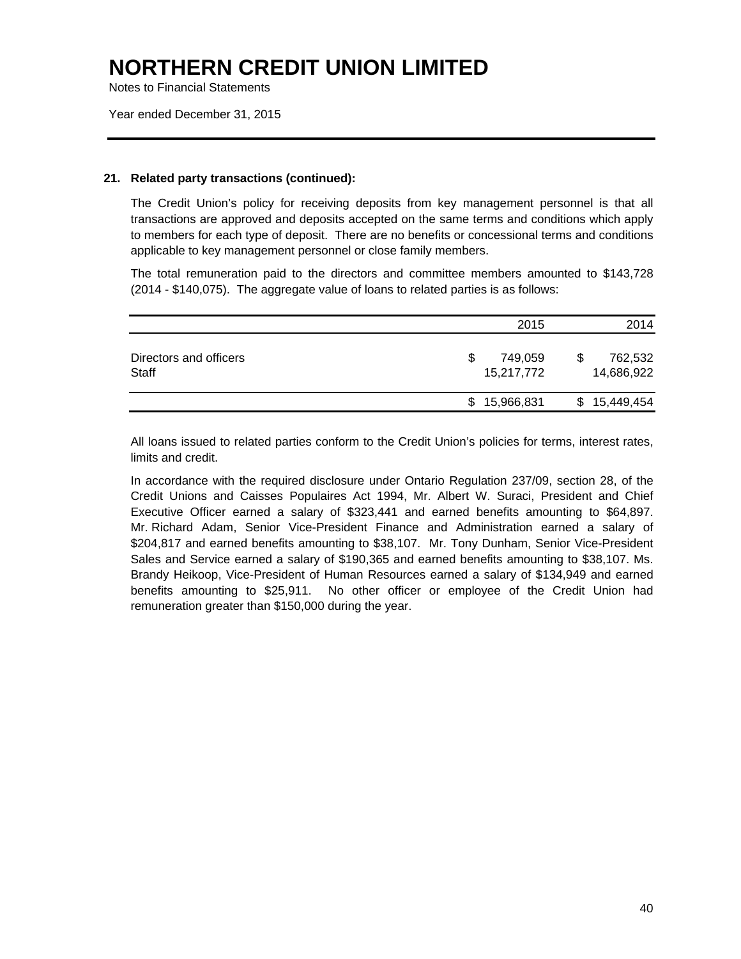Notes to Financial Statements

Year ended December 31, 2015

#### **21. Related party transactions (continued):**

The Credit Union's policy for receiving deposits from key management personnel is that all transactions are approved and deposits accepted on the same terms and conditions which apply to members for each type of deposit. There are no benefits or concessional terms and conditions applicable to key management personnel or close family members.

 The total remuneration paid to the directors and committee members amounted to \$143,728 (2014 - \$140,075). The aggregate value of loans to related parties is as follows:

|                                 | 2015                        | 2014                  |
|---------------------------------|-----------------------------|-----------------------|
| Directors and officers<br>Staff | \$<br>749,059<br>15,217,772 | 762,532<br>14,686,922 |
|                                 | 15,966,831<br>\$.           | \$15,449,454          |

All loans issued to related parties conform to the Credit Union's policies for terms, interest rates, limits and credit.

 In accordance with the required disclosure under Ontario Regulation 237/09, section 28, of the Credit Unions and Caisses Populaires Act 1994, Mr. Albert W. Suraci, President and Chief Executive Officer earned a salary of \$323,441 and earned benefits amounting to \$64,897. Mr. Richard Adam, Senior Vice-President Finance and Administration earned a salary of \$204,817 and earned benefits amounting to \$38,107. Mr. Tony Dunham, Senior Vice-President Sales and Service earned a salary of \$190,365 and earned benefits amounting to \$38,107. Ms. Brandy Heikoop, Vice-President of Human Resources earned a salary of \$134,949 and earned benefits amounting to \$25,911. No other officer or employee of the Credit Union had remuneration greater than \$150,000 during the year.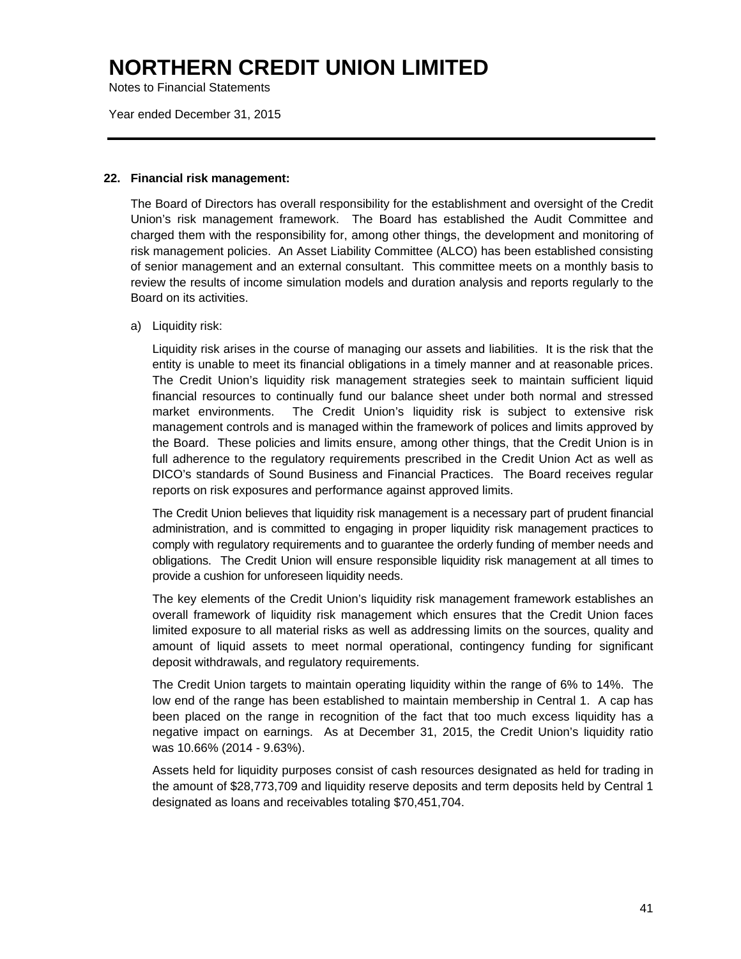Notes to Financial Statements

Year ended December 31, 2015

#### **22. Financial risk management:**

The Board of Directors has overall responsibility for the establishment and oversight of the Credit Union's risk management framework. The Board has established the Audit Committee and charged them with the responsibility for, among other things, the development and monitoring of risk management policies. An Asset Liability Committee (ALCO) has been established consisting of senior management and an external consultant. This committee meets on a monthly basis to review the results of income simulation models and duration analysis and reports regularly to the Board on its activities.

### a) Liquidity risk:

Liquidity risk arises in the course of managing our assets and liabilities. It is the risk that the entity is unable to meet its financial obligations in a timely manner and at reasonable prices. The Credit Union's liquidity risk management strategies seek to maintain sufficient liquid financial resources to continually fund our balance sheet under both normal and stressed market environments. The Credit Union's liquidity risk is subject to extensive risk management controls and is managed within the framework of polices and limits approved by the Board. These policies and limits ensure, among other things, that the Credit Union is in full adherence to the regulatory requirements prescribed in the Credit Union Act as well as DICO's standards of Sound Business and Financial Practices. The Board receives regular reports on risk exposures and performance against approved limits.

The Credit Union believes that liquidity risk management is a necessary part of prudent financial administration, and is committed to engaging in proper liquidity risk management practices to comply with regulatory requirements and to guarantee the orderly funding of member needs and obligations. The Credit Union will ensure responsible liquidity risk management at all times to provide a cushion for unforeseen liquidity needs.

The key elements of the Credit Union's liquidity risk management framework establishes an overall framework of liquidity risk management which ensures that the Credit Union faces limited exposure to all material risks as well as addressing limits on the sources, quality and amount of liquid assets to meet normal operational, contingency funding for significant deposit withdrawals, and regulatory requirements.

The Credit Union targets to maintain operating liquidity within the range of 6% to 14%. The low end of the range has been established to maintain membership in Central 1. A cap has been placed on the range in recognition of the fact that too much excess liquidity has a negative impact on earnings. As at December 31, 2015, the Credit Union's liquidity ratio was 10.66% (2014 - 9.63%).

Assets held for liquidity purposes consist of cash resources designated as held for trading in the amount of \$28,773,709 and liquidity reserve deposits and term deposits held by Central 1 designated as loans and receivables totaling \$70,451,704.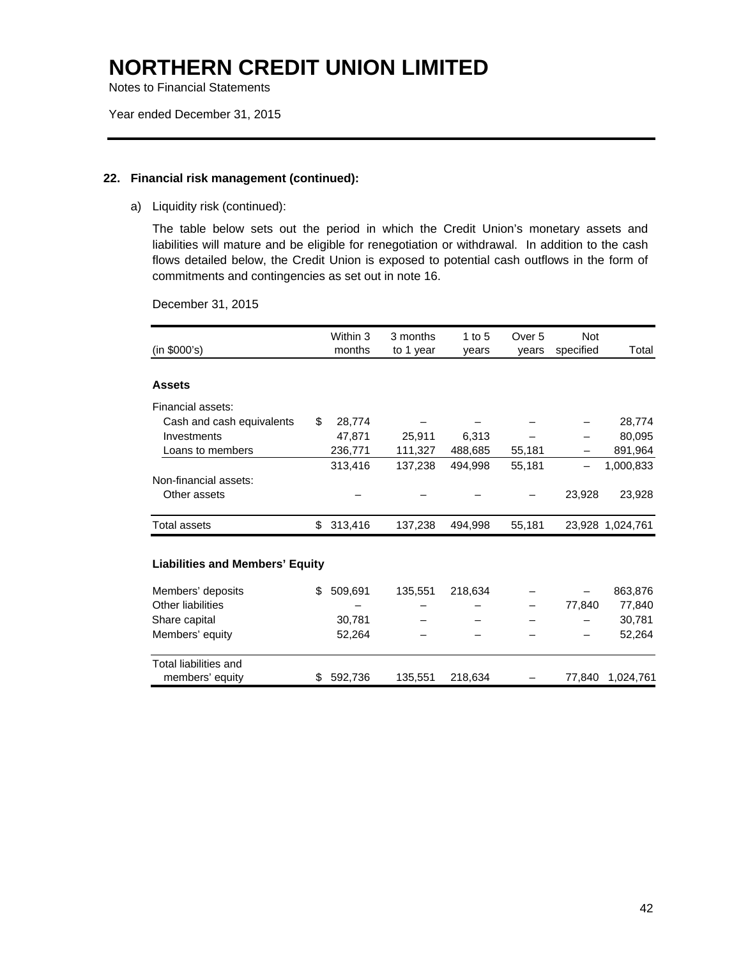Notes to Financial Statements

Year ended December 31, 2015

#### **22. Financial risk management (continued):**

a) Liquidity risk (continued):

The table below sets out the period in which the Credit Union's monetary assets and liabilities will mature and be eligible for renegotiation or withdrawal. In addition to the cash flows detailed below, the Credit Union is exposed to potential cash outflows in the form of commitments and contingencies as set out in note 16.

December 31, 2015

|                                        |    | Within 3 | 3 months  | 1 to 5  | Over 5 | Not       |                  |
|----------------------------------------|----|----------|-----------|---------|--------|-----------|------------------|
| (in \$000's)                           |    | months   | to 1 year | years   | years  | specified | Total            |
|                                        |    |          |           |         |        |           |                  |
| <b>Assets</b>                          |    |          |           |         |        |           |                  |
| Financial assets:                      |    |          |           |         |        |           |                  |
| Cash and cash equivalents              | \$ | 28,774   |           |         |        |           | 28,774           |
| Investments                            |    | 47,871   | 25,911    | 6,313   |        |           | 80,095           |
| Loans to members                       |    | 236,771  | 111,327   | 488,685 | 55,181 |           | 891,964          |
|                                        |    | 313,416  | 137,238   | 494,998 | 55,181 |           | 1,000,833        |
| Non-financial assets:                  |    |          |           |         |        |           |                  |
| Other assets                           |    |          |           |         |        | 23,928    | 23,928           |
|                                        |    |          |           |         |        |           |                  |
| <b>Total assets</b>                    | \$ | 313,416  | 137,238   | 494,998 | 55,181 |           | 23,928 1,024,761 |
|                                        |    |          |           |         |        |           |                  |
| <b>Liabilities and Members' Equity</b> |    |          |           |         |        |           |                  |
| Members' deposits                      | S. | 509,691  | 135,551   | 218,634 |        |           | 863,876          |
| <b>Other liabilities</b>               |    |          |           |         |        | 77,840    | 77,840           |
| Share capital                          |    | 30,781   |           |         |        |           | 30,781           |
| Members' equity                        |    | 52,264   |           |         |        |           | 52,264           |
| Total liabilities and                  |    |          |           |         |        |           |                  |
| members' equity                        | \$ | 592,736  | 135,551   | 218,634 |        | 77.840    | 1,024,761        |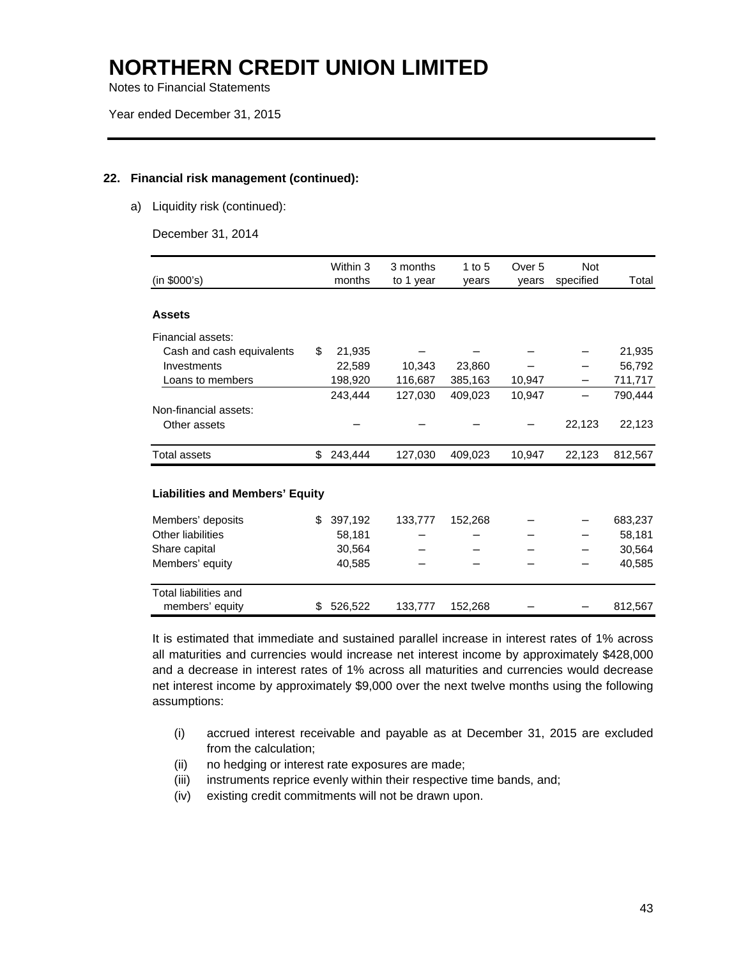Notes to Financial Statements

Year ended December 31, 2015

#### **22. Financial risk management (continued):**

a) Liquidity risk (continued):

December 31, 2014

Total liabilities and

| (in \$000's)                           | Within 3<br>months | 3 months<br>to 1 year | 1 to $5$<br>years | Over <sub>5</sub><br>vears | <b>Not</b><br>specified | Total   |
|----------------------------------------|--------------------|-----------------------|-------------------|----------------------------|-------------------------|---------|
| <b>Assets</b>                          |                    |                       |                   |                            |                         |         |
| Financial assets:                      |                    |                       |                   |                            |                         |         |
| Cash and cash equivalents              | \$<br>21,935       |                       |                   |                            |                         | 21,935  |
| Investments                            | 22,589             | 10,343                | 23,860            |                            |                         | 56,792  |
| Loans to members                       | 198,920            | 116,687               | 385,163           | 10,947                     |                         | 711,717 |
|                                        | 243,444            | 127,030               | 409,023           | 10,947                     |                         | 790,444 |
| Non-financial assets:<br>Other assets  |                    |                       |                   |                            | 22,123                  | 22,123  |
| Total assets                           | \$<br>243,444      | 127,030               | 409,023           | 10,947                     | 22,123                  | 812,567 |
| <b>Liabilities and Members' Equity</b> |                    |                       |                   |                            |                         |         |
| Members' deposits                      | \$<br>397,192      | 133,777               | 152,268           |                            |                         | 683,237 |
| Other liabilities                      | 58,181             |                       |                   |                            |                         | 58,181  |
| Share capital                          | 30,564             |                       |                   |                            |                         | 30,564  |
| Members' equity                        | 40,585             |                       |                   |                            |                         | 40,585  |

It is estimated that immediate and sustained parallel increase in interest rates of 1% across all maturities and currencies would increase net interest income by approximately \$428,000 and a decrease in interest rates of 1% across all maturities and currencies would decrease net interest income by approximately \$9,000 over the next twelve months using the following assumptions:

members' equity \$ 526,522 133,777 152,268 – – 812,567

- (i) accrued interest receivable and payable as at December 31, 2015 are excluded from the calculation;
- (ii) no hedging or interest rate exposures are made;
- (iii) instruments reprice evenly within their respective time bands, and;
- (iv) existing credit commitments will not be drawn upon.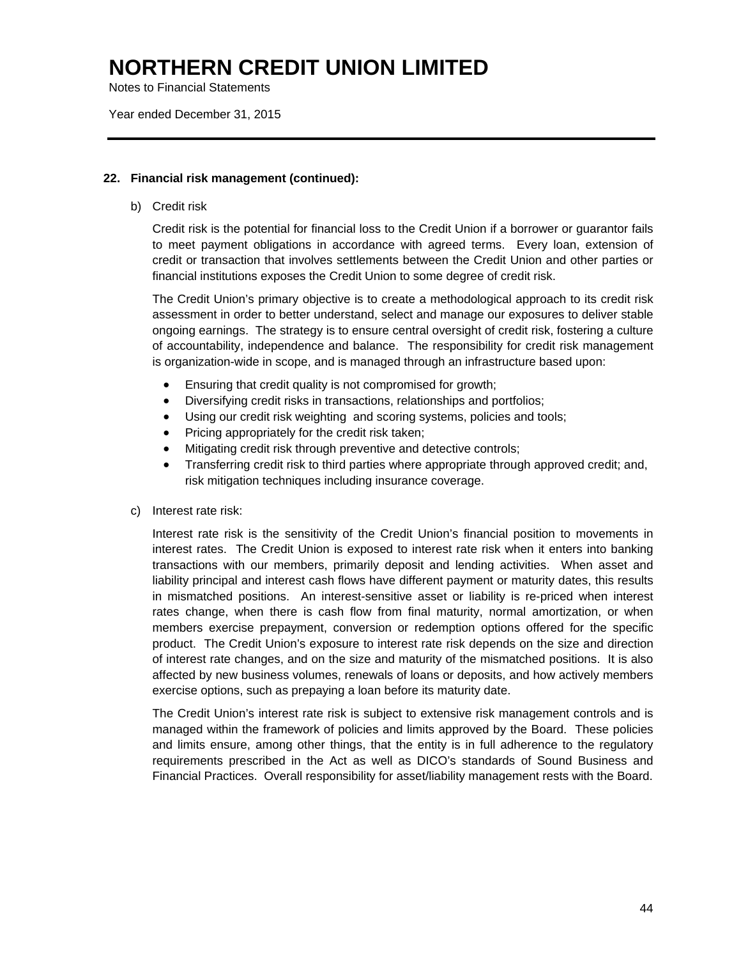Notes to Financial Statements

Year ended December 31, 2015

#### **22. Financial risk management (continued):**

b) Credit risk

Credit risk is the potential for financial loss to the Credit Union if a borrower or guarantor fails to meet payment obligations in accordance with agreed terms. Every loan, extension of credit or transaction that involves settlements between the Credit Union and other parties or financial institutions exposes the Credit Union to some degree of credit risk.

The Credit Union's primary objective is to create a methodological approach to its credit risk assessment in order to better understand, select and manage our exposures to deliver stable ongoing earnings. The strategy is to ensure central oversight of credit risk, fostering a culture of accountability, independence and balance. The responsibility for credit risk management is organization-wide in scope, and is managed through an infrastructure based upon:

- Ensuring that credit quality is not compromised for growth;
- Diversifying credit risks in transactions, relationships and portfolios;
- Using our credit risk weighting and scoring systems, policies and tools;
- Pricing appropriately for the credit risk taken;
- Mitigating credit risk through preventive and detective controls;
- Transferring credit risk to third parties where appropriate through approved credit; and, risk mitigation techniques including insurance coverage.
- c) Interest rate risk:

Interest rate risk is the sensitivity of the Credit Union's financial position to movements in interest rates. The Credit Union is exposed to interest rate risk when it enters into banking transactions with our members, primarily deposit and lending activities. When asset and liability principal and interest cash flows have different payment or maturity dates, this results in mismatched positions. An interest-sensitive asset or liability is re-priced when interest rates change, when there is cash flow from final maturity, normal amortization, or when members exercise prepayment, conversion or redemption options offered for the specific product. The Credit Union's exposure to interest rate risk depends on the size and direction of interest rate changes, and on the size and maturity of the mismatched positions. It is also affected by new business volumes, renewals of loans or deposits, and how actively members exercise options, such as prepaying a loan before its maturity date.

The Credit Union's interest rate risk is subject to extensive risk management controls and is managed within the framework of policies and limits approved by the Board. These policies and limits ensure, among other things, that the entity is in full adherence to the regulatory requirements prescribed in the Act as well as DICO's standards of Sound Business and Financial Practices. Overall responsibility for asset/liability management rests with the Board.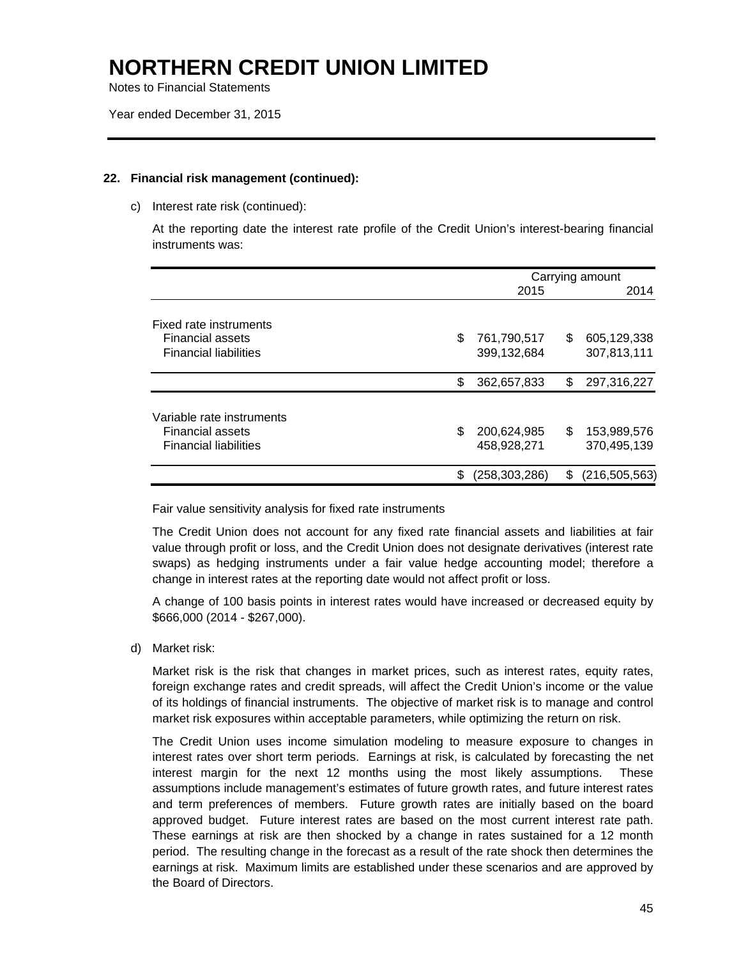Notes to Financial Statements

#### **22. Financial risk management (continued):**

c) Interest rate risk (continued):

At the reporting date the interest rate profile of the Credit Union's interest-bearing financial instruments was:

|                                                                                      | Carrying amount                  |    |                            |
|--------------------------------------------------------------------------------------|----------------------------------|----|----------------------------|
|                                                                                      | 2015                             |    | 2014                       |
| Fixed rate instruments<br><b>Financial assets</b><br><b>Financial liabilities</b>    | \$<br>761,790,517<br>399,132,684 | \$ | 605,129,338<br>307,813,111 |
|                                                                                      | \$<br>362,657,833                | \$ | 297,316,227                |
| Variable rate instruments<br><b>Financial assets</b><br><b>Financial liabilities</b> | \$<br>200,624,985<br>458,928,271 | \$ | 153,989,576<br>370,495,139 |
|                                                                                      | (258, 303, 286)                  | S  | (216, 505, 563)            |

Fair value sensitivity analysis for fixed rate instruments

The Credit Union does not account for any fixed rate financial assets and liabilities at fair value through profit or loss, and the Credit Union does not designate derivatives (interest rate swaps) as hedging instruments under a fair value hedge accounting model; therefore a change in interest rates at the reporting date would not affect profit or loss.

A change of 100 basis points in interest rates would have increased or decreased equity by \$666,000 (2014 - \$267,000).

d) Market risk:

Market risk is the risk that changes in market prices, such as interest rates, equity rates, foreign exchange rates and credit spreads, will affect the Credit Union's income or the value of its holdings of financial instruments. The objective of market risk is to manage and control market risk exposures within acceptable parameters, while optimizing the return on risk.

The Credit Union uses income simulation modeling to measure exposure to changes in interest rates over short term periods. Earnings at risk, is calculated by forecasting the net interest margin for the next 12 months using the most likely assumptions. These assumptions include management's estimates of future growth rates, and future interest rates and term preferences of members. Future growth rates are initially based on the board approved budget. Future interest rates are based on the most current interest rate path. These earnings at risk are then shocked by a change in rates sustained for a 12 month period. The resulting change in the forecast as a result of the rate shock then determines the earnings at risk. Maximum limits are established under these scenarios and are approved by the Board of Directors.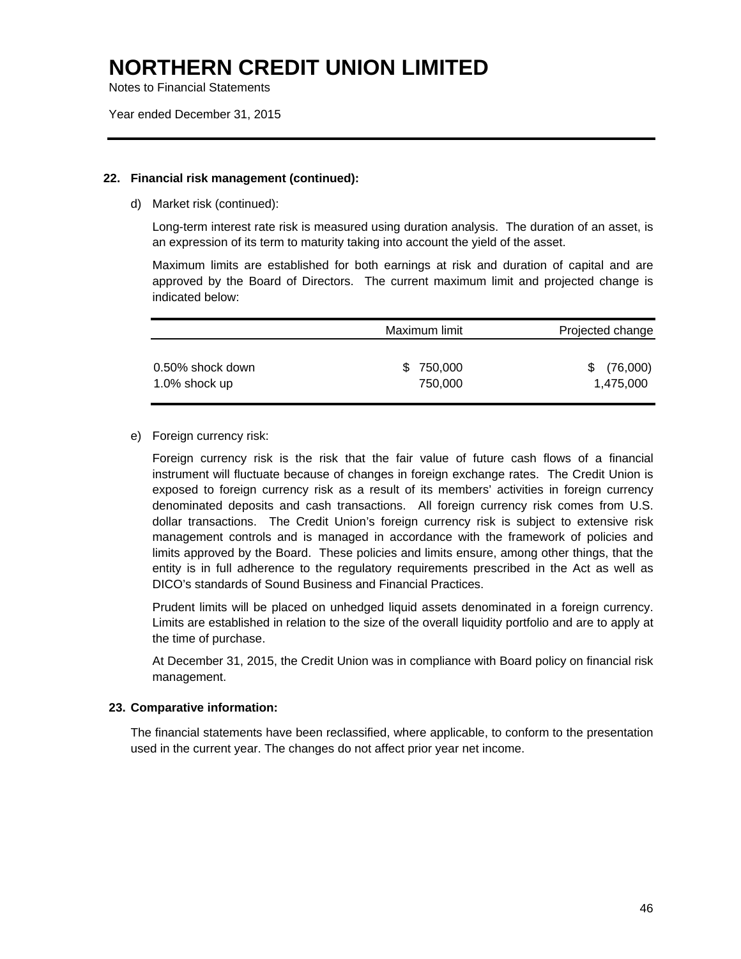Notes to Financial Statements

Year ended December 31, 2015

#### **22. Financial risk management (continued):**

d) Market risk (continued):

Long-term interest rate risk is measured using duration analysis. The duration of an asset, is an expression of its term to maturity taking into account the yield of the asset.

Maximum limits are established for both earnings at risk and duration of capital and are approved by the Board of Directors. The current maximum limit and projected change is indicated below:

|                                   | Maximum limit        | Projected change            |
|-----------------------------------|----------------------|-----------------------------|
| 0.50% shock down<br>1.0% shock up | \$750,000<br>750,000 | (76,000)<br>S.<br>1.475.000 |

### e) Foreign currency risk:

 Foreign currency risk is the risk that the fair value of future cash flows of a financial instrument will fluctuate because of changes in foreign exchange rates. The Credit Union is exposed to foreign currency risk as a result of its members' activities in foreign currency denominated deposits and cash transactions. All foreign currency risk comes from U.S. dollar transactions. The Credit Union's foreign currency risk is subject to extensive risk management controls and is managed in accordance with the framework of policies and limits approved by the Board. These policies and limits ensure, among other things, that the entity is in full adherence to the regulatory requirements prescribed in the Act as well as DICO's standards of Sound Business and Financial Practices.

Prudent limits will be placed on unhedged liquid assets denominated in a foreign currency. Limits are established in relation to the size of the overall liquidity portfolio and are to apply at the time of purchase.

At December 31, 2015, the Credit Union was in compliance with Board policy on financial risk management.

### **23. Comparative information:**

The financial statements have been reclassified, where applicable, to conform to the presentation used in the current year. The changes do not affect prior year net income.